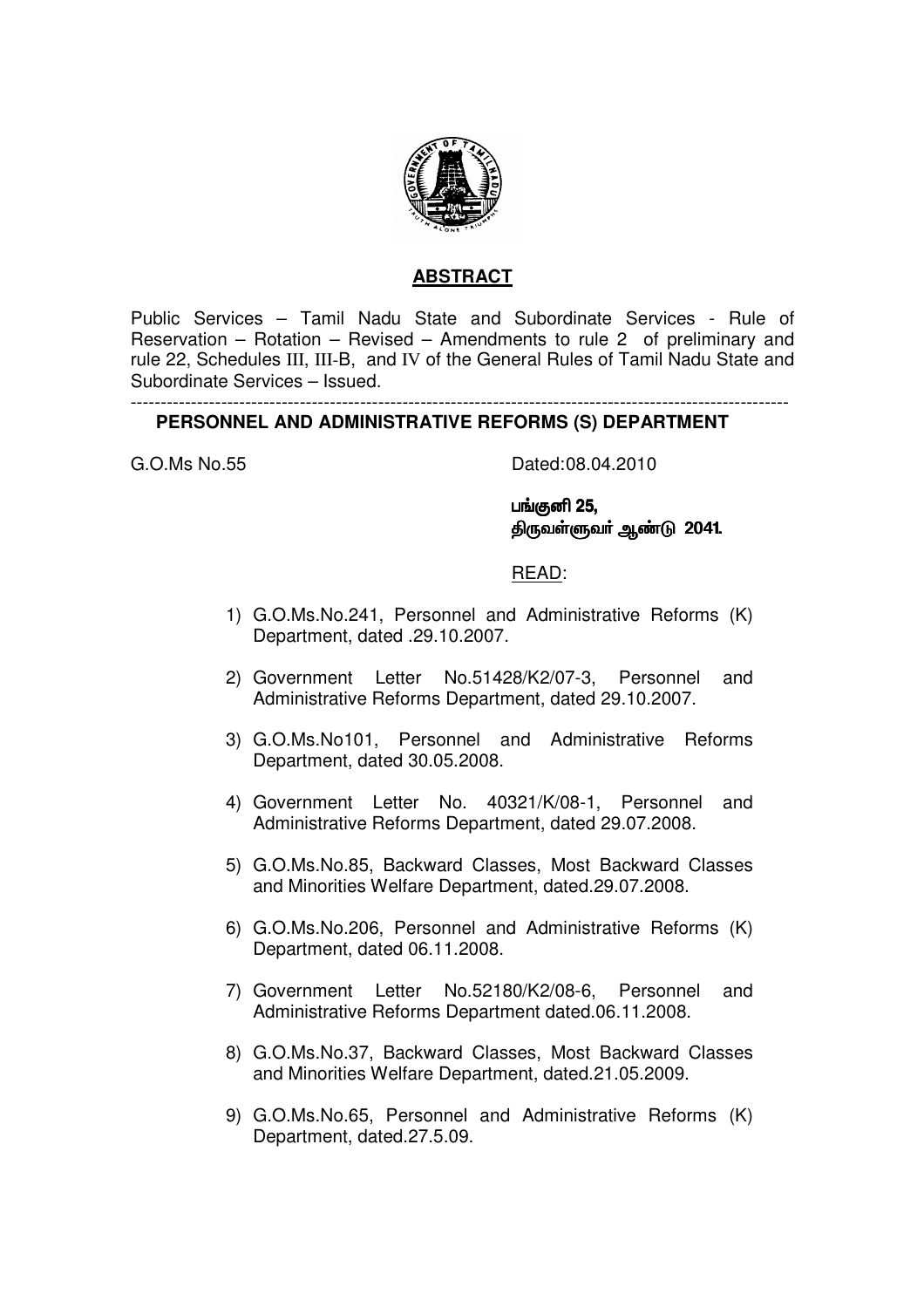

# **ABSTRACT**

Public Services – Tamil Nadu State and Subordinate Services - Rule of Reservation – Rotation – Revised – Amendments to rule 2 of preliminary and rule 22, Schedules III, III-B, and IV of the General Rules of Tamil Nadu State and Subordinate Services – Issued.

#### ------------------------------------------------------------------------------------------------------------- **PERSONNEL AND ADMINISTRATIVE REFORMS (S) DEPARTMENT**

G.O.Ms No.55 Dated: 08.04.2010

பங்குனி 25, திருவள்ளுவர் ஆண்டு 2041.

### READ:

- 1) G.O.Ms.No.241, Personnel and Administrative Reforms (K) Department, dated .29.10.2007.
- 2) Government Letter No.51428/K2/07-3, Personnel and Administrative Reforms Department, dated 29.10.2007.
- 3) G.O.Ms.No101, Personnel and Administrative Reforms Department, dated 30.05.2008.
- 4) Government Letter No. 40321/K/08-1, Personnel and Administrative Reforms Department, dated 29.07.2008.
- 5) G.O.Ms.No.85, Backward Classes, Most Backward Classes and Minorities Welfare Department, dated.29.07.2008.
- 6) G.O.Ms.No.206, Personnel and Administrative Reforms (K) Department, dated 06.11.2008.
- 7) Government Letter No.52180/K2/08-6, Personnel and Administrative Reforms Department dated.06.11.2008.
- 8) G.O.Ms.No.37, Backward Classes, Most Backward Classes and Minorities Welfare Department, dated.21.05.2009.
- 9) G.O.Ms.No.65, Personnel and Administrative Reforms (K) Department, dated.27.5.09.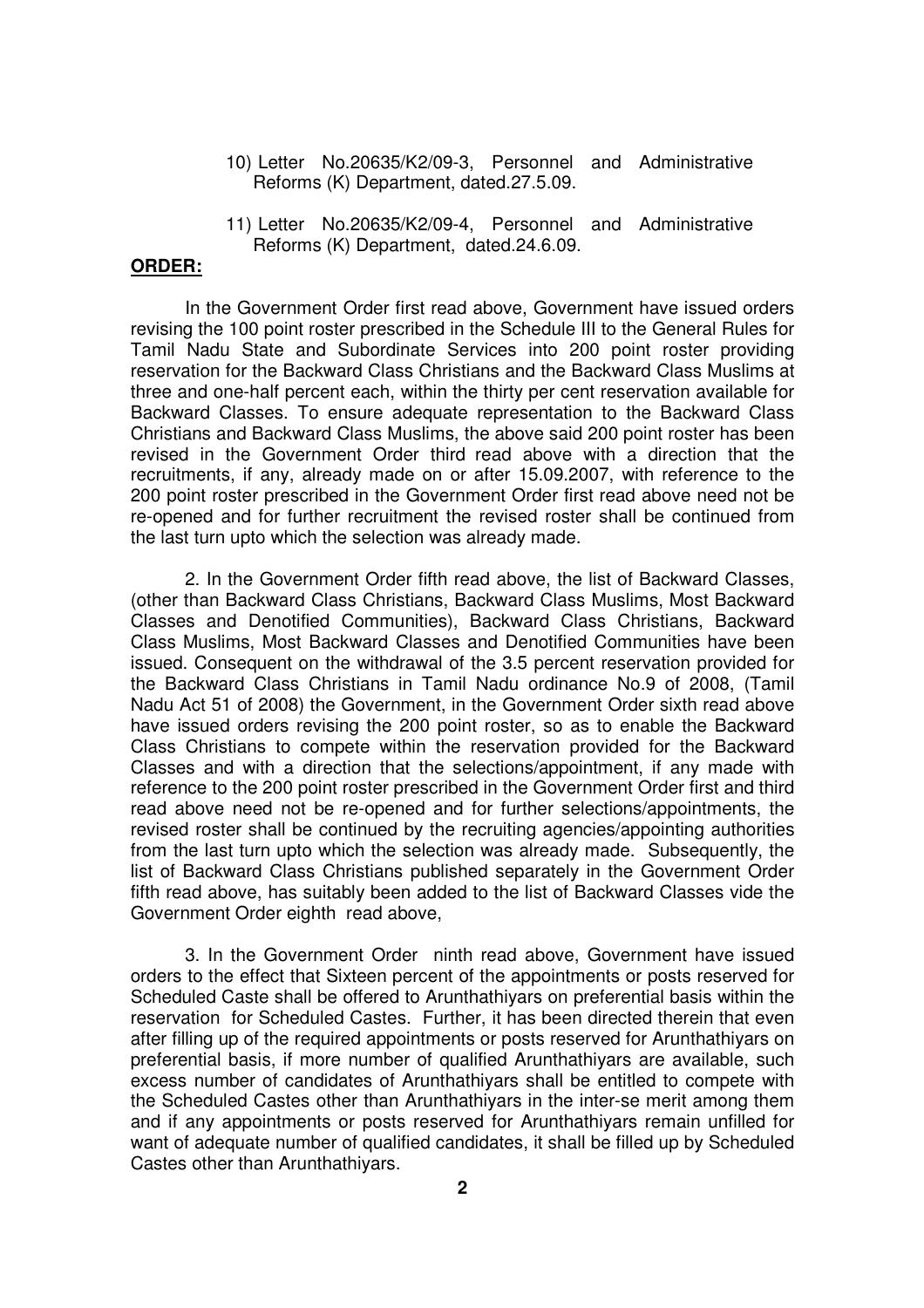- 10) Letter No.20635/K2/09-3, Personnel and Administrative Reforms (K) Department, dated.27.5.09.
- 11) Letter No.20635/K2/09-4, Personnel and Administrative Reforms (K) Department, dated.24.6.09.

#### **ORDER:**

 In the Government Order first read above, Government have issued orders revising the 100 point roster prescribed in the Schedule III to the General Rules for Tamil Nadu State and Subordinate Services into 200 point roster providing reservation for the Backward Class Christians and the Backward Class Muslims at three and one-half percent each, within the thirty per cent reservation available for Backward Classes. To ensure adequate representation to the Backward Class Christians and Backward Class Muslims, the above said 200 point roster has been revised in the Government Order third read above with a direction that the recruitments, if any, already made on or after 15.09.2007, with reference to the 200 point roster prescribed in the Government Order first read above need not be re-opened and for further recruitment the revised roster shall be continued from the last turn upto which the selection was already made.

2. In the Government Order fifth read above, the list of Backward Classes, (other than Backward Class Christians, Backward Class Muslims, Most Backward Classes and Denotified Communities), Backward Class Christians, Backward Class Muslims, Most Backward Classes and Denotified Communities have been issued. Consequent on the withdrawal of the 3.5 percent reservation provided for the Backward Class Christians in Tamil Nadu ordinance No.9 of 2008, (Tamil Nadu Act 51 of 2008) the Government, in the Government Order sixth read above have issued orders revising the 200 point roster, so as to enable the Backward Class Christians to compete within the reservation provided for the Backward Classes and with a direction that the selections/appointment, if any made with reference to the 200 point roster prescribed in the Government Order first and third read above need not be re-opened and for further selections/appointments, the revised roster shall be continued by the recruiting agencies/appointing authorities from the last turn upto which the selection was already made. Subsequently, the list of Backward Class Christians published separately in the Government Order fifth read above, has suitably been added to the list of Backward Classes vide the Government Order eighth read above,

 3. In the Government Order ninth read above, Government have issued orders to the effect that Sixteen percent of the appointments or posts reserved for Scheduled Caste shall be offered to Arunthathiyars on preferential basis within the reservation for Scheduled Castes. Further, it has been directed therein that even after filling up of the required appointments or posts reserved for Arunthathiyars on preferential basis, if more number of qualified Arunthathiyars are available, such excess number of candidates of Arunthathiyars shall be entitled to compete with the Scheduled Castes other than Arunthathiyars in the inter-se merit among them and if any appointments or posts reserved for Arunthathiyars remain unfilled for want of adequate number of qualified candidates, it shall be filled up by Scheduled Castes other than Arunthathiyars.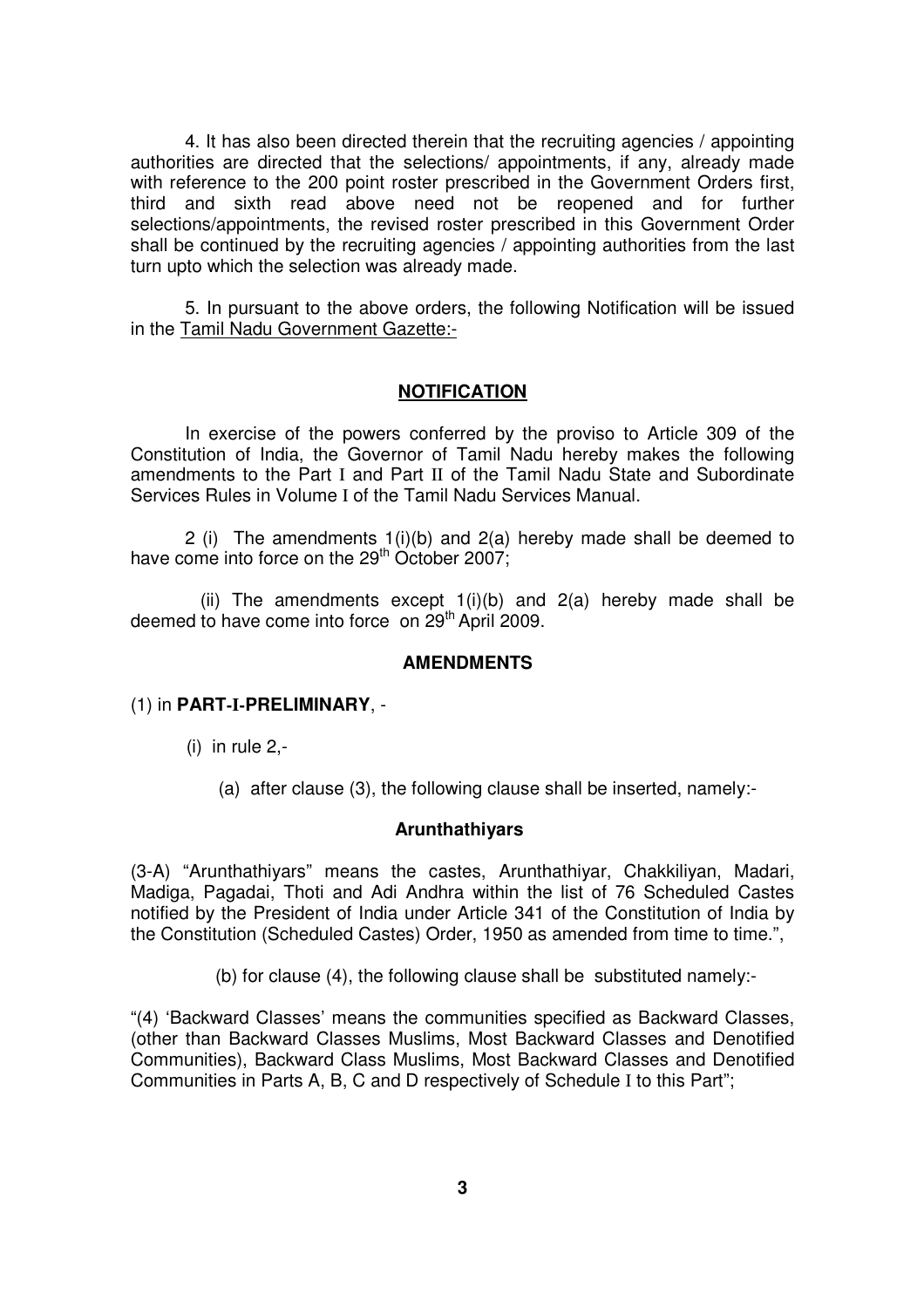4. It has also been directed therein that the recruiting agencies / appointing authorities are directed that the selections/ appointments, if any, already made with reference to the 200 point roster prescribed in the Government Orders first, third and sixth read above need not be reopened and for further selections/appointments, the revised roster prescribed in this Government Order shall be continued by the recruiting agencies / appointing authorities from the last turn upto which the selection was already made.

 5. In pursuant to the above orders, the following Notification will be issued in the Tamil Nadu Government Gazette:-

#### **NOTIFICATION**

In exercise of the powers conferred by the proviso to Article 309 of the Constitution of India, the Governor of Tamil Nadu hereby makes the following amendments to the Part I and Part II of the Tamil Nadu State and Subordinate Services Rules in Volume I of the Tamil Nadu Services Manual.

2 (i) The amendments 1(i)(b) and 2(a) hereby made shall be deemed to have come into force on the 29<sup>th</sup> October 2007;

(ii) The amendments except  $1(i)(b)$  and  $2(a)$  hereby made shall be deemed to have come into force on  $29<sup>th</sup>$  April 2009.

#### **AMENDMENTS**

### (1) in **PART-I-PRELIMINARY**, -

- (i) in rule 2,-
	- (a) after clause (3), the following clause shall be inserted, namely:-

#### **Arunthathiyars**

(3-A) "Arunthathiyars" means the castes, Arunthathiyar, Chakkiliyan, Madari, Madiga, Pagadai, Thoti and Adi Andhra within the list of 76 Scheduled Castes notified by the President of India under Article 341 of the Constitution of India by the Constitution (Scheduled Castes) Order, 1950 as amended from time to time.",

(b) for clause (4), the following clause shall be substituted namely:-

"(4) 'Backward Classes' means the communities specified as Backward Classes, (other than Backward Classes Muslims, Most Backward Classes and Denotified Communities), Backward Class Muslims, Most Backward Classes and Denotified Communities in Parts A, B, C and D respectively of Schedule I to this Part";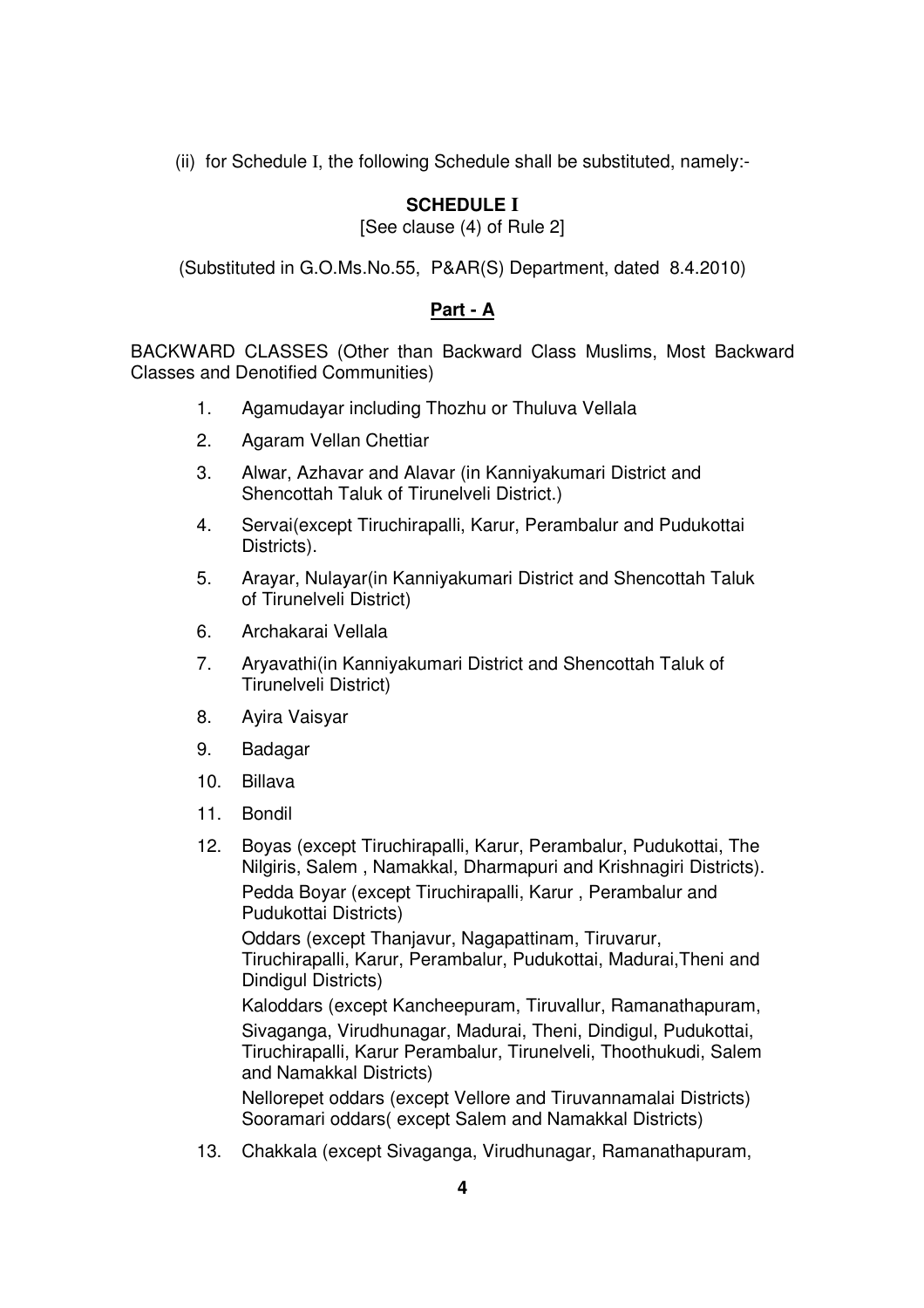(ii) for Schedule I, the following Schedule shall be substituted, namely:-

# **SCHEDULE I**

[See clause (4) of Rule 2]

(Substituted in G.O.Ms.No.55, P&AR(S) Department, dated 8.4.2010)

# **Part - A**

BACKWARD CLASSES (Other than Backward Class Muslims, Most Backward Classes and Denotified Communities)

- 1. Agamudayar including Thozhu or Thuluva Vellala
- 2. Agaram Vellan Chettiar
- 3. Alwar, Azhavar and Alavar (in Kanniyakumari District and Shencottah Taluk of Tirunelveli District.)
- 4. Servai(except Tiruchirapalli, Karur, Perambalur and Pudukottai Districts).
- 5. Arayar, Nulayar(in Kanniyakumari District and Shencottah Taluk of Tirunelveli District)
- 6. Archakarai Vellala
- 7. Aryavathi(in Kanniyakumari District and Shencottah Taluk of Tirunelveli District)
- 8. Ayira Vaisyar
- 9. Badagar
- 10. Billava
- 11. Bondil
- 12. Boyas (except Tiruchirapalli, Karur, Perambalur, Pudukottai, The Nilgiris, Salem , Namakkal, Dharmapuri and Krishnagiri Districts). Pedda Boyar (except Tiruchirapalli, Karur , Perambalur and Pudukottai Districts)

Oddars (except Thanjavur, Nagapattinam, Tiruvarur, Tiruchirapalli, Karur, Perambalur, Pudukottai, Madurai,Theni and Dindigul Districts)

Kaloddars (except Kancheepuram, Tiruvallur, Ramanathapuram, Sivaganga, Virudhunagar, Madurai, Theni, Dindigul, Pudukottai, Tiruchirapalli, Karur Perambalur, Tirunelveli, Thoothukudi, Salem and Namakkal Districts)

Nellorepet oddars (except Vellore and Tiruvannamalai Districts) Sooramari oddars( except Salem and Namakkal Districts)

13. Chakkala (except Sivaganga, Virudhunagar, Ramanathapuram,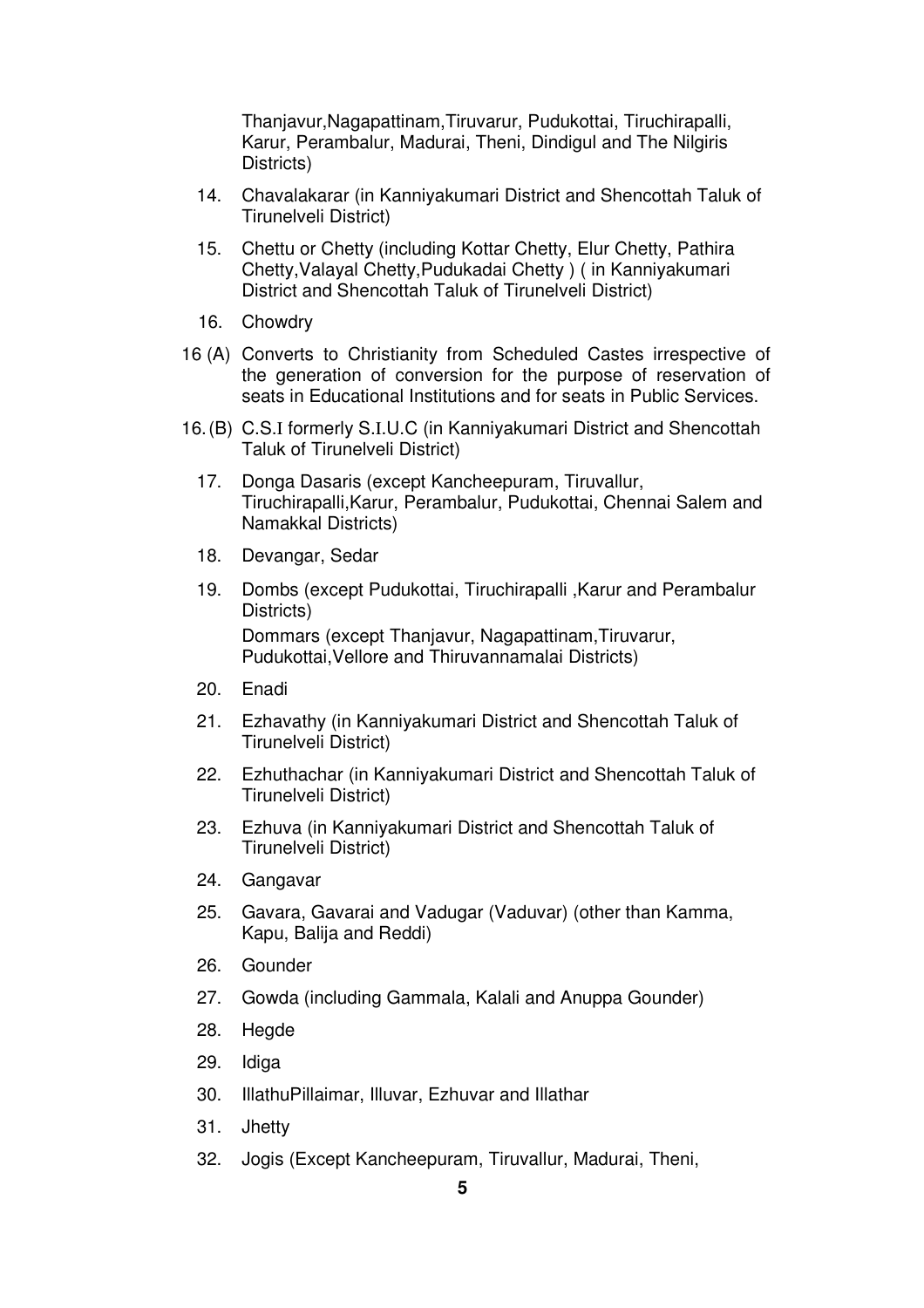Thanjavur,Nagapattinam,Tiruvarur, Pudukottai, Tiruchirapalli, Karur, Perambalur, Madurai, Theni, Dindigul and The Nilgiris Districts)

- 14. Chavalakarar (in Kanniyakumari District and Shencottah Taluk of Tirunelveli District)
- 15. Chettu or Chetty (including Kottar Chetty, Elur Chetty, Pathira Chetty,Valayal Chetty,Pudukadai Chetty ) ( in Kanniyakumari District and Shencottah Taluk of Tirunelveli District)
- 16. Chowdry
- 16 (A) Converts to Christianity from Scheduled Castes irrespective of the generation of conversion for the purpose of reservation of seats in Educational Institutions and for seats in Public Services.
- 16. (B) C.S.I formerly S.I.U.C (in Kanniyakumari District and Shencottah Taluk of Tirunelveli District)
	- 17. Donga Dasaris (except Kancheepuram, Tiruvallur, Tiruchirapalli,Karur, Perambalur, Pudukottai, Chennai Salem and Namakkal Districts)
	- 18. Devangar, Sedar
	- 19. Dombs (except Pudukottai, Tiruchirapalli ,Karur and Perambalur Districts) Dommars (except Thanjavur, Nagapattinam,Tiruvarur, Pudukottai,Vellore and Thiruvannamalai Districts)
	- 20. Enadi
	- 21. Ezhavathy (in Kanniyakumari District and Shencottah Taluk of Tirunelveli District)
	- 22. Ezhuthachar (in Kanniyakumari District and Shencottah Taluk of Tirunelveli District)
	- 23. Ezhuva (in Kanniyakumari District and Shencottah Taluk of Tirunelveli District)
	- 24. Gangavar
	- 25. Gavara, Gavarai and Vadugar (Vaduvar) (other than Kamma, Kapu, Balija and Reddi)
	- 26. Gounder
	- 27. Gowda (including Gammala, Kalali and Anuppa Gounder)
	- 28. Hegde
	- 29. Idiga
	- 30. IllathuPillaimar, Illuvar, Ezhuvar and Illathar
	- 31. Jhetty
	- 32. Jogis (Except Kancheepuram, Tiruvallur, Madurai, Theni,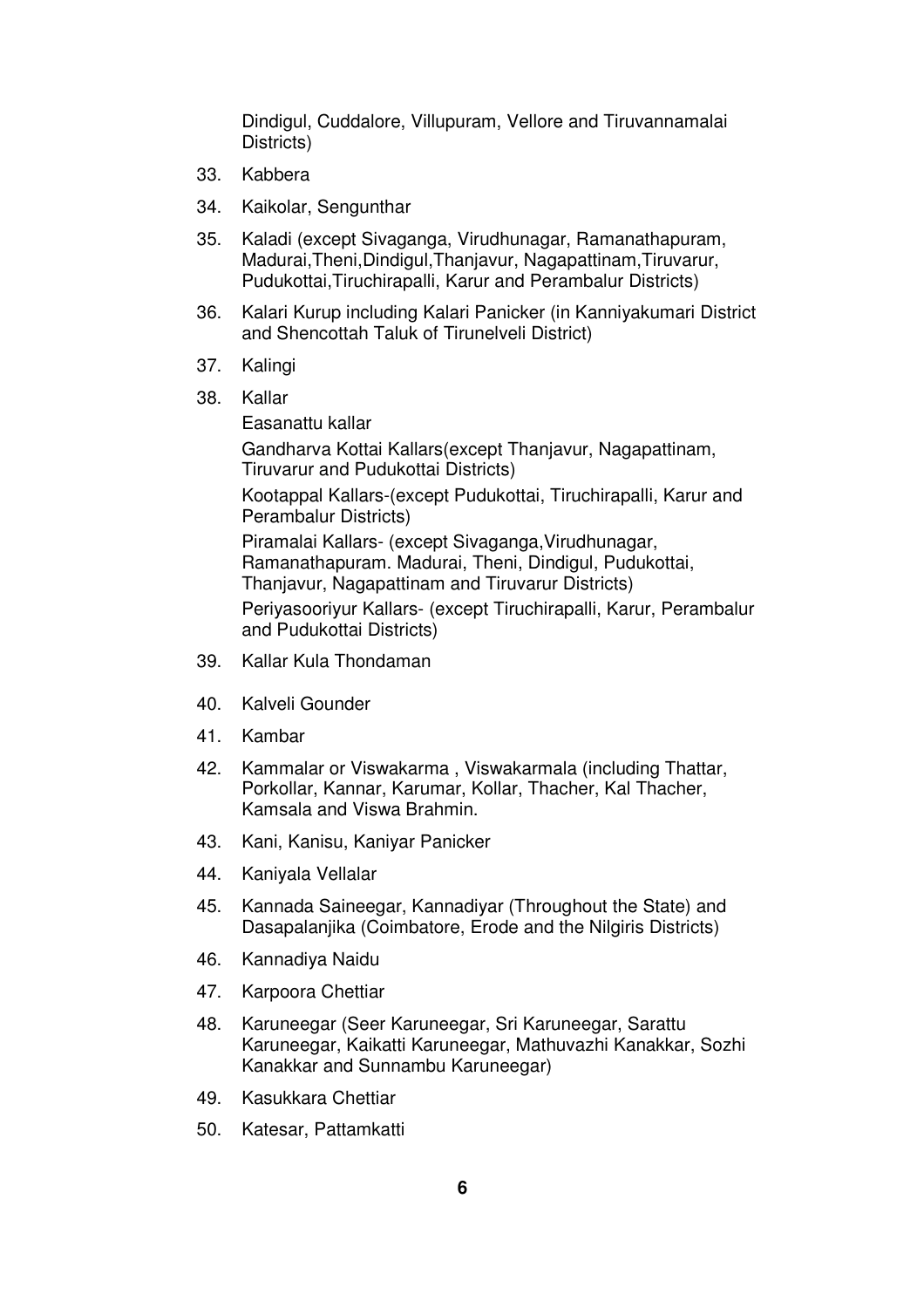Dindigul, Cuddalore, Villupuram, Vellore and Tiruvannamalai Districts)

- 33. Kabbera
- 34. Kaikolar, Sengunthar
- 35. Kaladi (except Sivaganga, Virudhunagar, Ramanathapuram, Madurai,Theni,Dindigul,Thanjavur, Nagapattinam,Tiruvarur, Pudukottai,Tiruchirapalli, Karur and Perambalur Districts)
- 36. Kalari Kurup including Kalari Panicker (in Kanniyakumari District and Shencottah Taluk of Tirunelveli District)
- 37. Kalingi
- 38. Kallar

Easanattu kallar Gandharva Kottai Kallars(except Thanjavur, Nagapattinam, Tiruvarur and Pudukottai Districts) Kootappal Kallars-(except Pudukottai, Tiruchirapalli, Karur and Perambalur Districts) Piramalai Kallars- (except Sivaganga,Virudhunagar, Ramanathapuram. Madurai, Theni, Dindigul, Pudukottai, Thanjavur, Nagapattinam and Tiruvarur Districts) Periyasooriyur Kallars- (except Tiruchirapalli, Karur, Perambalur and Pudukottai Districts)

- 39. Kallar Kula Thondaman
- 40. Kalveli Gounder
- 41. Kambar
- 42. Kammalar or Viswakarma , Viswakarmala (including Thattar, Porkollar, Kannar, Karumar, Kollar, Thacher, Kal Thacher, Kamsala and Viswa Brahmin.
- 43. Kani, Kanisu, Kaniyar Panicker
- 44. Kaniyala Vellalar
- 45. Kannada Saineegar, Kannadiyar (Throughout the State) and Dasapalanjika (Coimbatore, Erode and the Nilgiris Districts)
- 46. Kannadiya Naidu
- 47. Karpoora Chettiar
- 48. Karuneegar (Seer Karuneegar, Sri Karuneegar, Sarattu Karuneegar, Kaikatti Karuneegar, Mathuvazhi Kanakkar, Sozhi Kanakkar and Sunnambu Karuneegar)
- 49. Kasukkara Chettiar
- 50. Katesar, Pattamkatti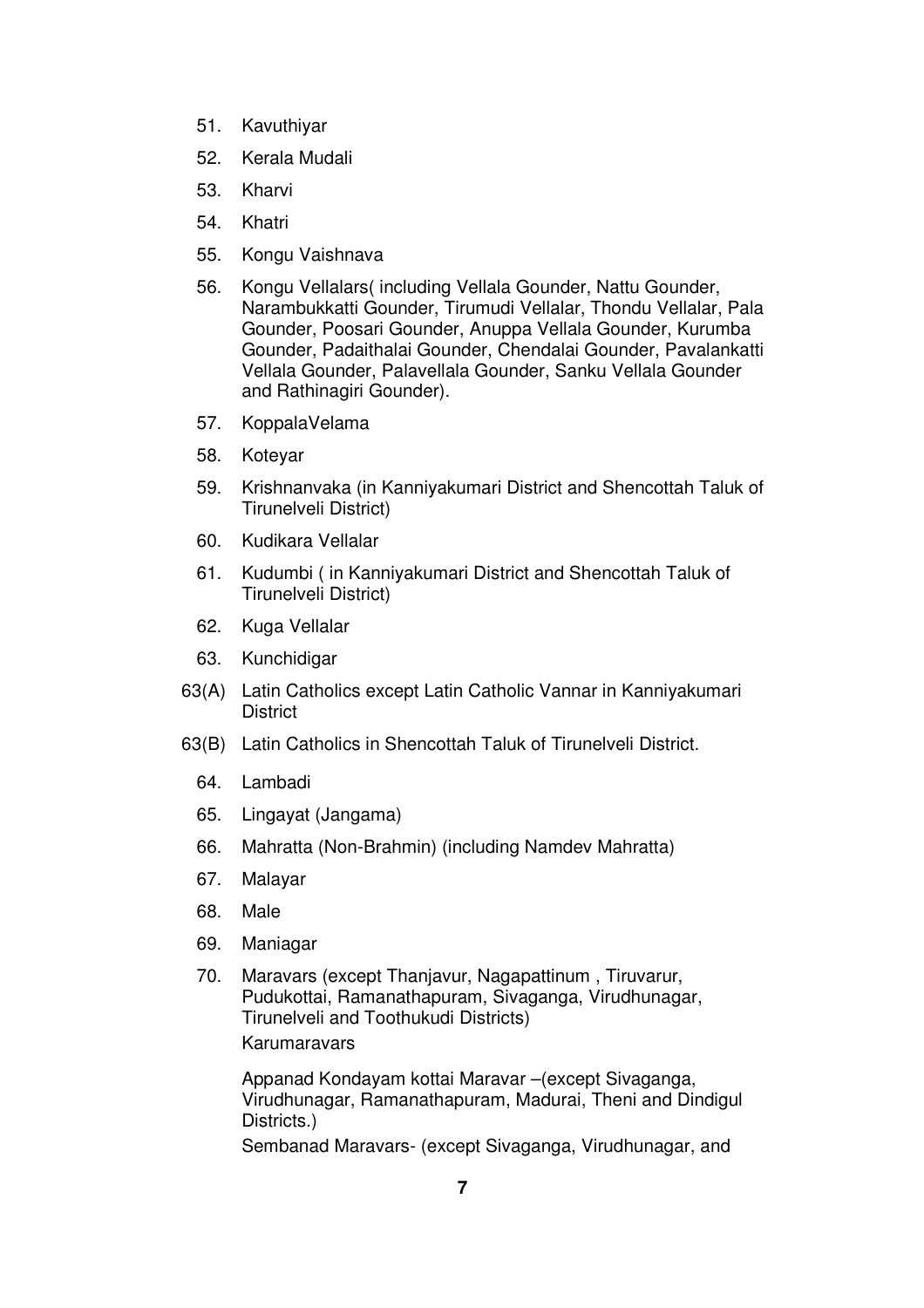- 51. Kavuthiyar
- 52. Kerala Mudali
- 53. Kharvi
- 54. Khatri
- 55. Kongu Vaishnava
- 56. Kongu Vellalars( including Vellala Gounder, Nattu Gounder, Narambukkatti Gounder, Tirumudi Vellalar, Thondu Vellalar, Pala Gounder, Poosari Gounder, Anuppa Vellala Gounder, Kurumba Gounder, Padaithalai Gounder, Chendalai Gounder, Pavalankatti Vellala Gounder, Palavellala Gounder, Sanku Vellala Gounder and Rathinagiri Gounder).
- 57. KoppalaVelama
- 58. Koteyar
- 59. Krishnanvaka (in Kanniyakumari District and Shencottah Taluk of Tirunelveli District)
- 60. Kudikara Vellalar
- 61. Kudumbi ( in Kanniyakumari District and Shencottah Taluk of Tirunelveli District)
- 62. Kuga Vellalar
- 63. Kunchidigar
- 63(A) Latin Catholics except Latin Catholic Vannar in Kanniyakumari **District**
- 63(B) Latin Catholics in Shencottah Taluk of Tirunelveli District.
	- 64. Lambadi
	- 65. Lingayat (Jangama)
	- 66. Mahratta (Non-Brahmin) (including Namdev Mahratta)
	- 67. Malayar
	- 68. Male
	- 69. Maniagar
	- 70. Maravars (except Thanjavur, Nagapattinum , Tiruvarur, Pudukottai, Ramanathapuram, Sivaganga, Virudhunagar, Tirunelveli and Toothukudi Districts) Karumaravars

Appanad Kondayam kottai Maravar –(except Sivaganga, Virudhunagar, Ramanathapuram, Madurai, Theni and Dindigul Districts.)

Sembanad Maravars- (except Sivaganga, Virudhunagar, and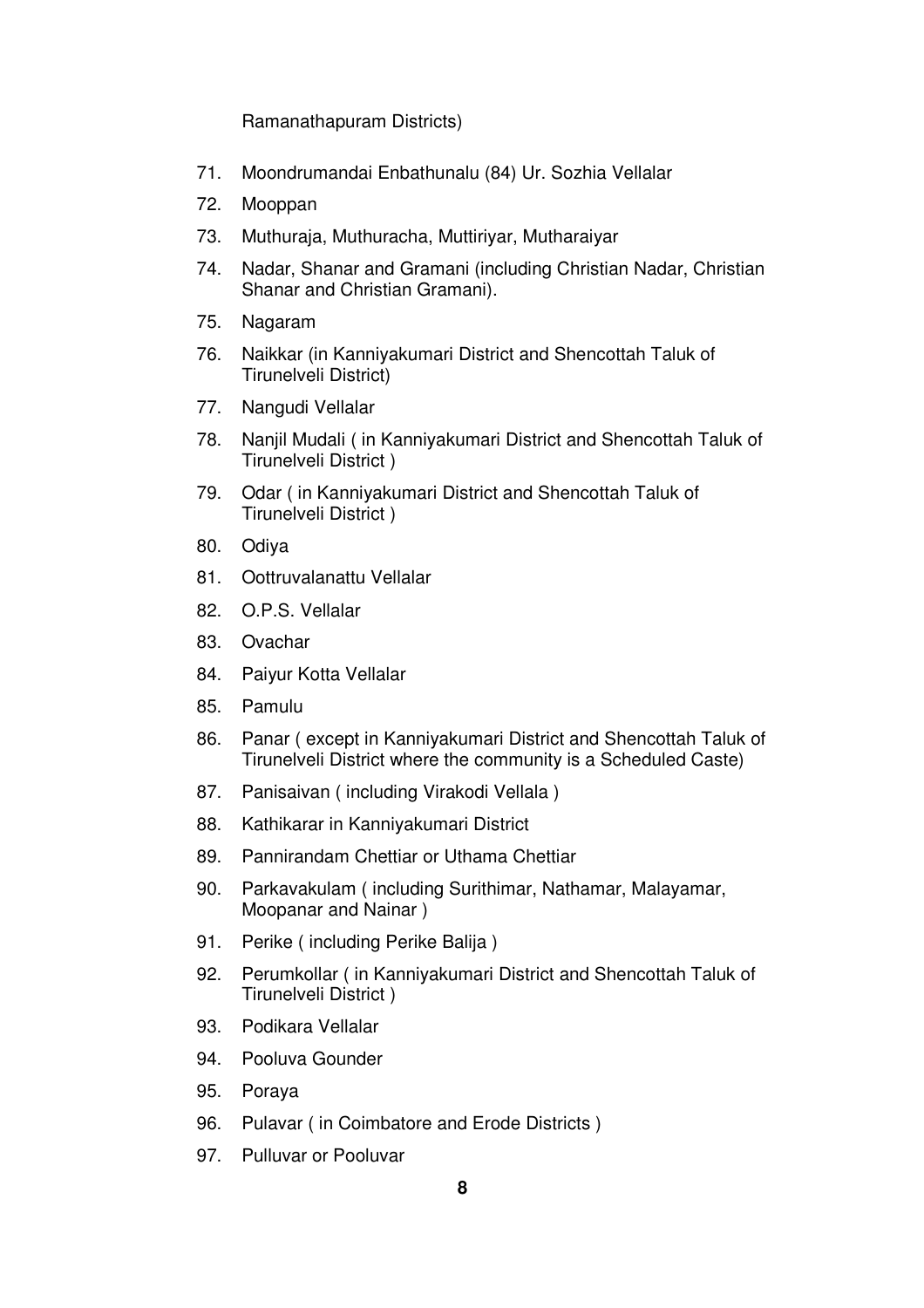Ramanathapuram Districts)

- 71. Moondrumandai Enbathunalu (84) Ur. Sozhia Vellalar
- 72. Mooppan
- 73. Muthuraja, Muthuracha, Muttiriyar, Mutharaiyar
- 74. Nadar, Shanar and Gramani (including Christian Nadar, Christian Shanar and Christian Gramani).
- 75. Nagaram
- 76. Naikkar (in Kanniyakumari District and Shencottah Taluk of Tirunelveli District)
- 77. Nangudi Vellalar
- 78. Nanjil Mudali ( in Kanniyakumari District and Shencottah Taluk of Tirunelveli District )
- 79. Odar ( in Kanniyakumari District and Shencottah Taluk of Tirunelveli District )
- 80. Odiya
- 81. Oottruvalanattu Vellalar
- 82. O.P.S. Vellalar
- 83. Ovachar
- 84. Paiyur Kotta Vellalar
- 85. Pamulu
- 86. Panar ( except in Kanniyakumari District and Shencottah Taluk of Tirunelveli District where the community is a Scheduled Caste)
- 87. Panisaivan ( including Virakodi Vellala )
- 88. Kathikarar in Kanniyakumari District
- 89. Pannirandam Chettiar or Uthama Chettiar
- 90. Parkavakulam ( including Surithimar, Nathamar, Malayamar, Moopanar and Nainar )
- 91. Perike ( including Perike Balija )
- 92. Perumkollar ( in Kanniyakumari District and Shencottah Taluk of Tirunelveli District )
- 93. Podikara Vellalar
- 94. Pooluva Gounder
- 95. Poraya
- 96. Pulavar ( in Coimbatore and Erode Districts )
- 97. Pulluvar or Pooluvar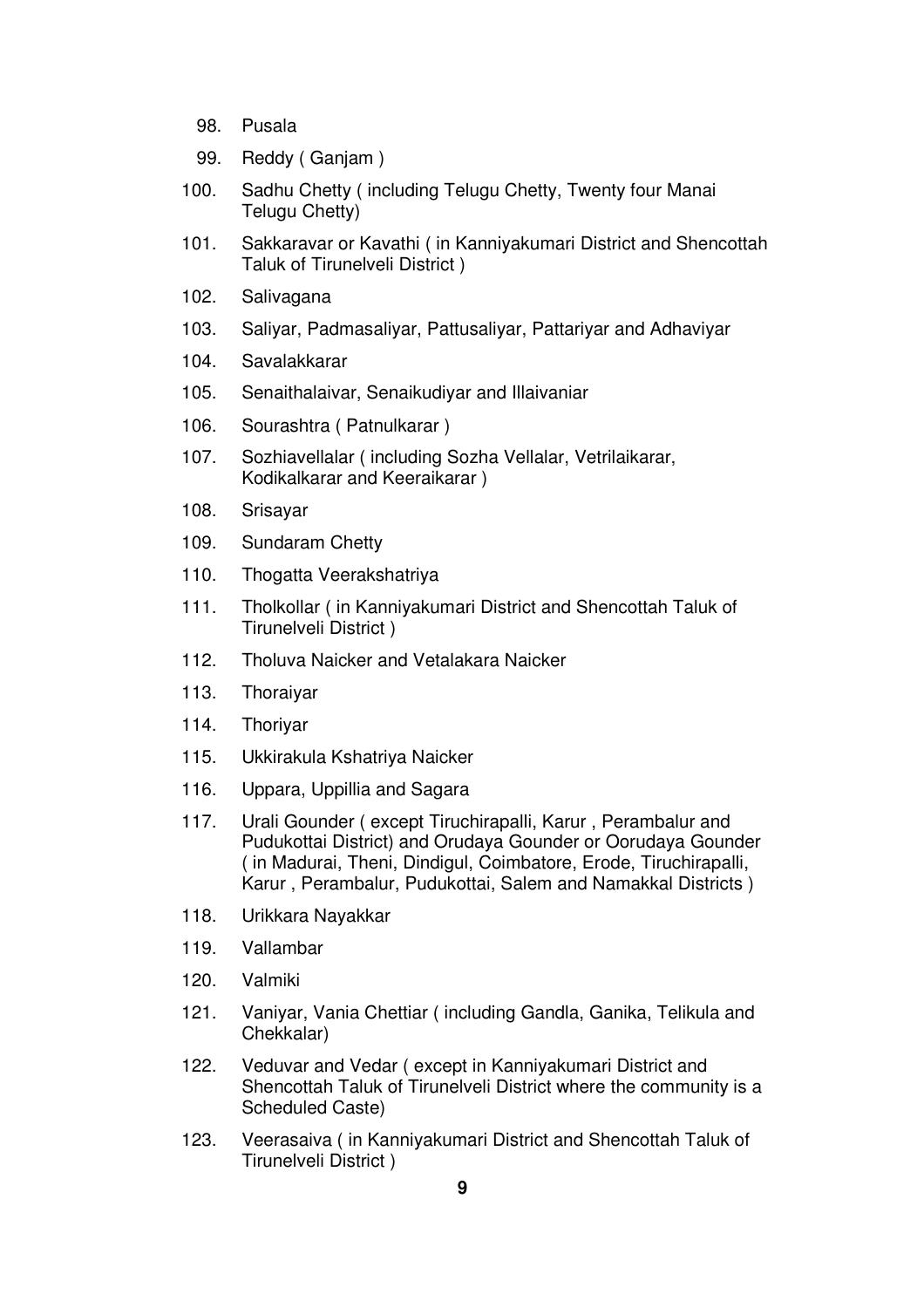- 98. Pusala
- 99. Reddy ( Ganjam )
- 100. Sadhu Chetty ( including Telugu Chetty, Twenty four Manai Telugu Chetty)
- 101. Sakkaravar or Kavathi ( in Kanniyakumari District and Shencottah Taluk of Tirunelveli District )
- 102. Salivagana
- 103. Saliyar, Padmasaliyar, Pattusaliyar, Pattariyar and Adhaviyar
- 104. Savalakkarar
- 105. Senaithalaivar, Senaikudiyar and Illaivaniar
- 106. Sourashtra ( Patnulkarar )
- 107. Sozhiavellalar ( including Sozha Vellalar, Vetrilaikarar, Kodikalkarar and Keeraikarar )
- 108. Srisayar
- 109. Sundaram Chetty
- 110. Thogatta Veerakshatriya
- 111. Tholkollar ( in Kanniyakumari District and Shencottah Taluk of Tirunelveli District )
- 112. Tholuva Naicker and Vetalakara Naicker
- 113. Thoraiyar
- 114. Thoriyar
- 115. Ukkirakula Kshatriya Naicker
- 116. Uppara, Uppillia and Sagara
- 117. Urali Gounder ( except Tiruchirapalli, Karur , Perambalur and Pudukottai District) and Orudaya Gounder or Oorudaya Gounder ( in Madurai, Theni, Dindigul, Coimbatore, Erode, Tiruchirapalli, Karur , Perambalur, Pudukottai, Salem and Namakkal Districts )
- 118. Urikkara Nayakkar
- 119. Vallambar
- 120. Valmiki
- 121. Vaniyar, Vania Chettiar ( including Gandla, Ganika, Telikula and Chekkalar)
- 122. Veduvar and Vedar ( except in Kanniyakumari District and Shencottah Taluk of Tirunelveli District where the community is a Scheduled Caste)
- 123. Veerasaiva ( in Kanniyakumari District and Shencottah Taluk of Tirunelveli District )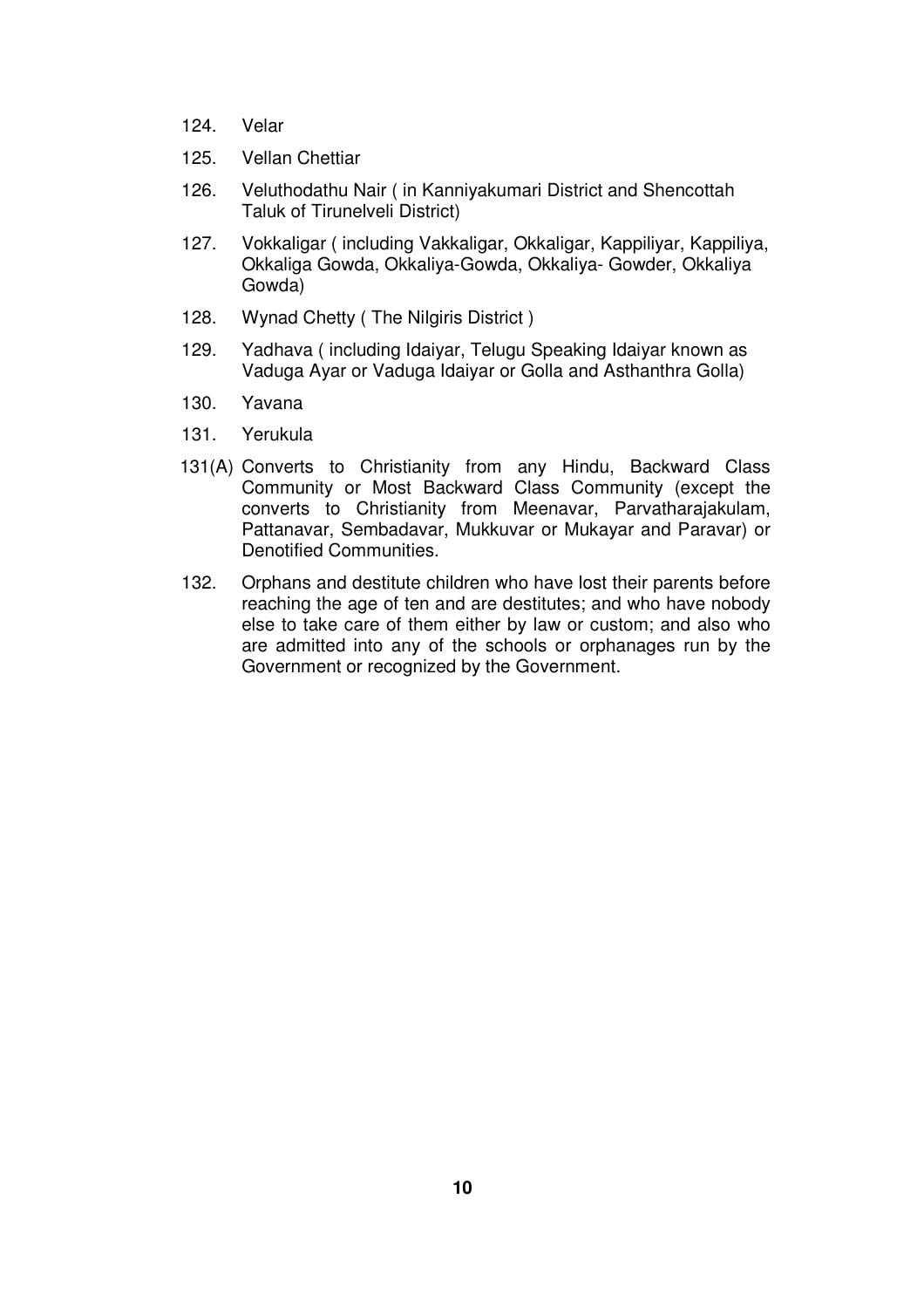- 124. Velar
- 125. Vellan Chettiar
- 126. Veluthodathu Nair ( in Kanniyakumari District and Shencottah Taluk of Tirunelveli District)
- 127. Vokkaligar ( including Vakkaligar, Okkaligar, Kappiliyar, Kappiliya, Okkaliga Gowda, Okkaliya-Gowda, Okkaliya- Gowder, Okkaliya Gowda)
- 128. Wynad Chetty ( The Nilgiris District )
- 129. Yadhava ( including Idaiyar, Telugu Speaking Idaiyar known as Vaduga Ayar or Vaduga Idaiyar or Golla and Asthanthra Golla)
- 130. Yavana
- 131. Yerukula
- 131(A) Converts to Christianity from any Hindu, Backward Class Community or Most Backward Class Community (except the converts to Christianity from Meenavar, Parvatharajakulam, Pattanavar, Sembadavar, Mukkuvar or Mukayar and Paravar) or Denotified Communities.
- 132. Orphans and destitute children who have lost their parents before reaching the age of ten and are destitutes; and who have nobody else to take care of them either by law or custom; and also who are admitted into any of the schools or orphanages run by the Government or recognized by the Government.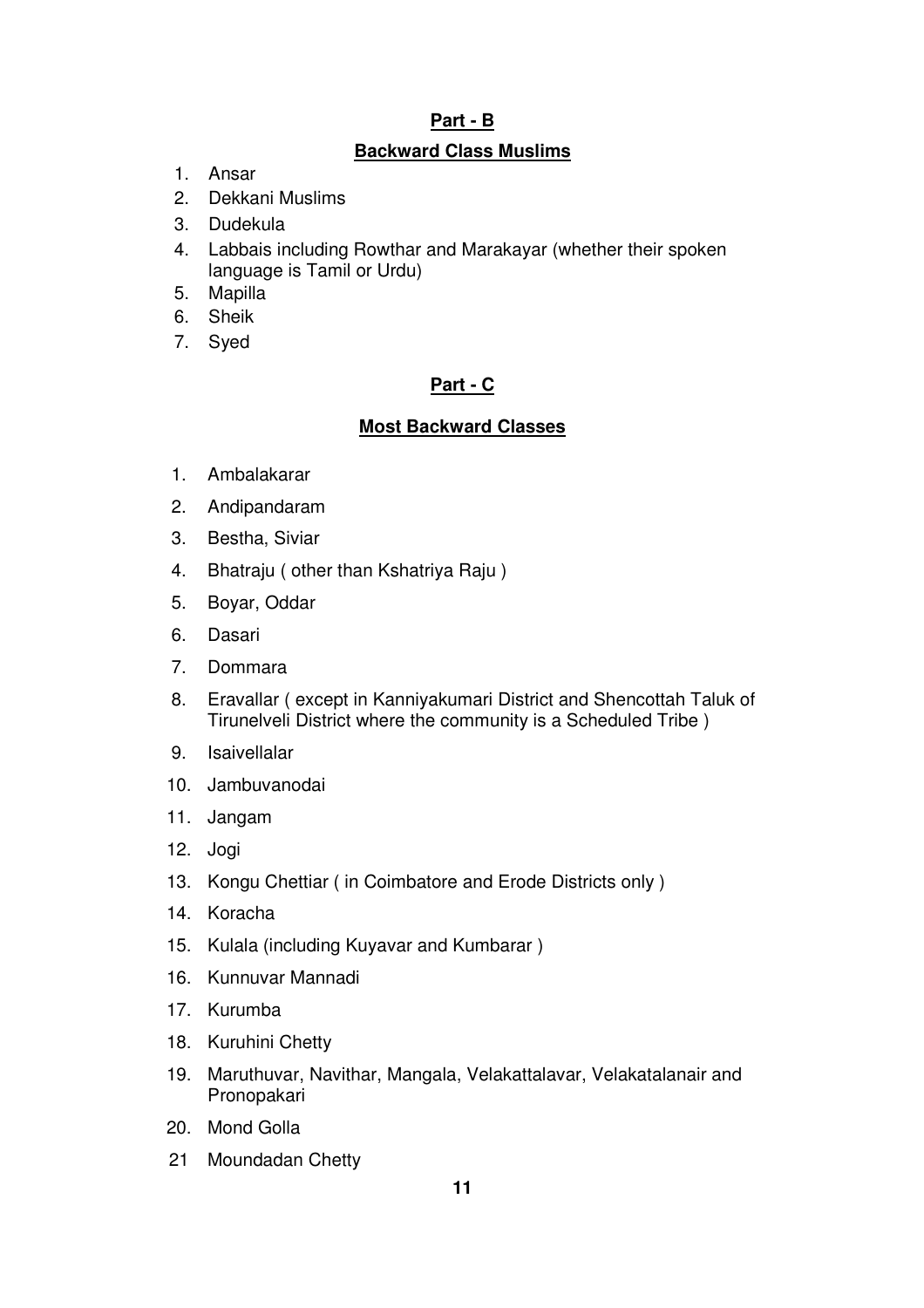# **Part - B**

# **Backward Class Muslims**

- 1. Ansar
- 2. Dekkani Muslims
- 3. Dudekula
- 4. Labbais including Rowthar and Marakayar (whether their spoken language is Tamil or Urdu)
- 5. Mapilla
- 6. Sheik
- 7. Syed

# **Part - C**

# **Most Backward Classes**

- 1. Ambalakarar
- 2. Andipandaram
- 3. Bestha, Siviar
- 4. Bhatraju ( other than Kshatriya Raju )
- 5. Boyar, Oddar
- 6. Dasari
- 7. Dommara
- 8. Eravallar ( except in Kanniyakumari District and Shencottah Taluk of Tirunelveli District where the community is a Scheduled Tribe )
- 9. Isaivellalar
- 10. Jambuvanodai
- 11. Jangam
- 12. Jogi
- 13. Kongu Chettiar ( in Coimbatore and Erode Districts only )
- 14. Koracha
- 15. Kulala (including Kuyavar and Kumbarar )
- 16. Kunnuvar Mannadi
- 17. Kurumba
- 18. Kuruhini Chetty
- 19. Maruthuvar, Navithar, Mangala, Velakattalavar, Velakatalanair and Pronopakari
- 20. Mond Golla
- 21 Moundadan Chetty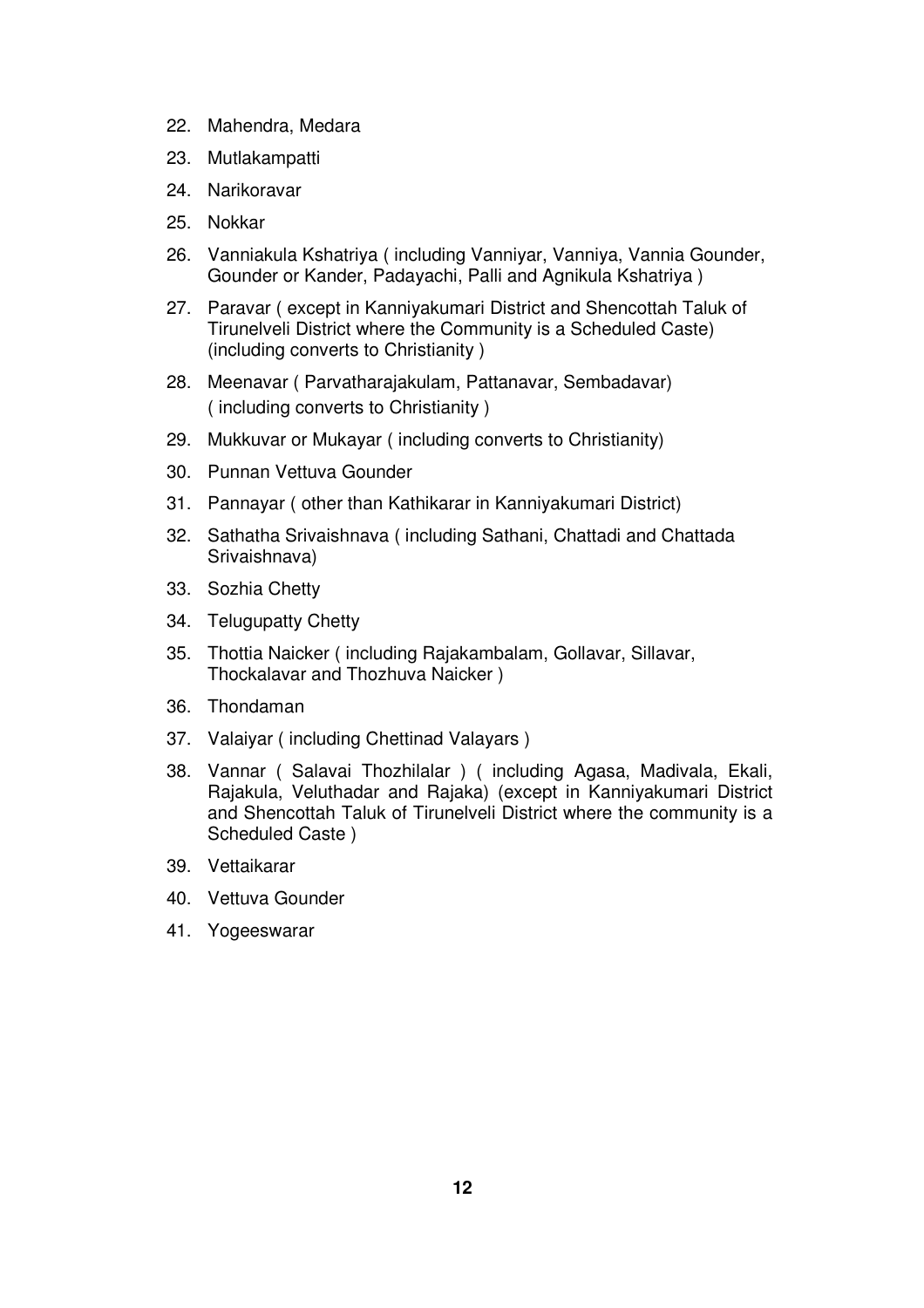- 22. Mahendra, Medara
- 23. Mutlakampatti
- 24. Narikoravar
- 25. Nokkar
- 26. Vanniakula Kshatriya ( including Vanniyar, Vanniya, Vannia Gounder, Gounder or Kander, Padayachi, Palli and Agnikula Kshatriya )
- 27. Paravar ( except in Kanniyakumari District and Shencottah Taluk of Tirunelveli District where the Community is a Scheduled Caste) (including converts to Christianity )
- 28. Meenavar ( Parvatharajakulam, Pattanavar, Sembadavar) ( including converts to Christianity )
- 29. Mukkuvar or Mukayar ( including converts to Christianity)
- 30. Punnan Vettuva Gounder
- 31. Pannayar ( other than Kathikarar in Kanniyakumari District)
- 32. Sathatha Srivaishnava ( including Sathani, Chattadi and Chattada Srivaishnava)
- 33. Sozhia Chetty
- 34. Telugupatty Chetty
- 35. Thottia Naicker ( including Rajakambalam, Gollavar, Sillavar, Thockalavar and Thozhuva Naicker )
- 36. Thondaman
- 37. Valaiyar ( including Chettinad Valayars )
- 38. Vannar ( Salavai Thozhilalar ) ( including Agasa, Madivala, Ekali, Rajakula, Veluthadar and Rajaka) (except in Kanniyakumari District and Shencottah Taluk of Tirunelveli District where the community is a Scheduled Caste )
- 39. Vettaikarar
- 40. Vettuva Gounder
- 41. Yogeeswarar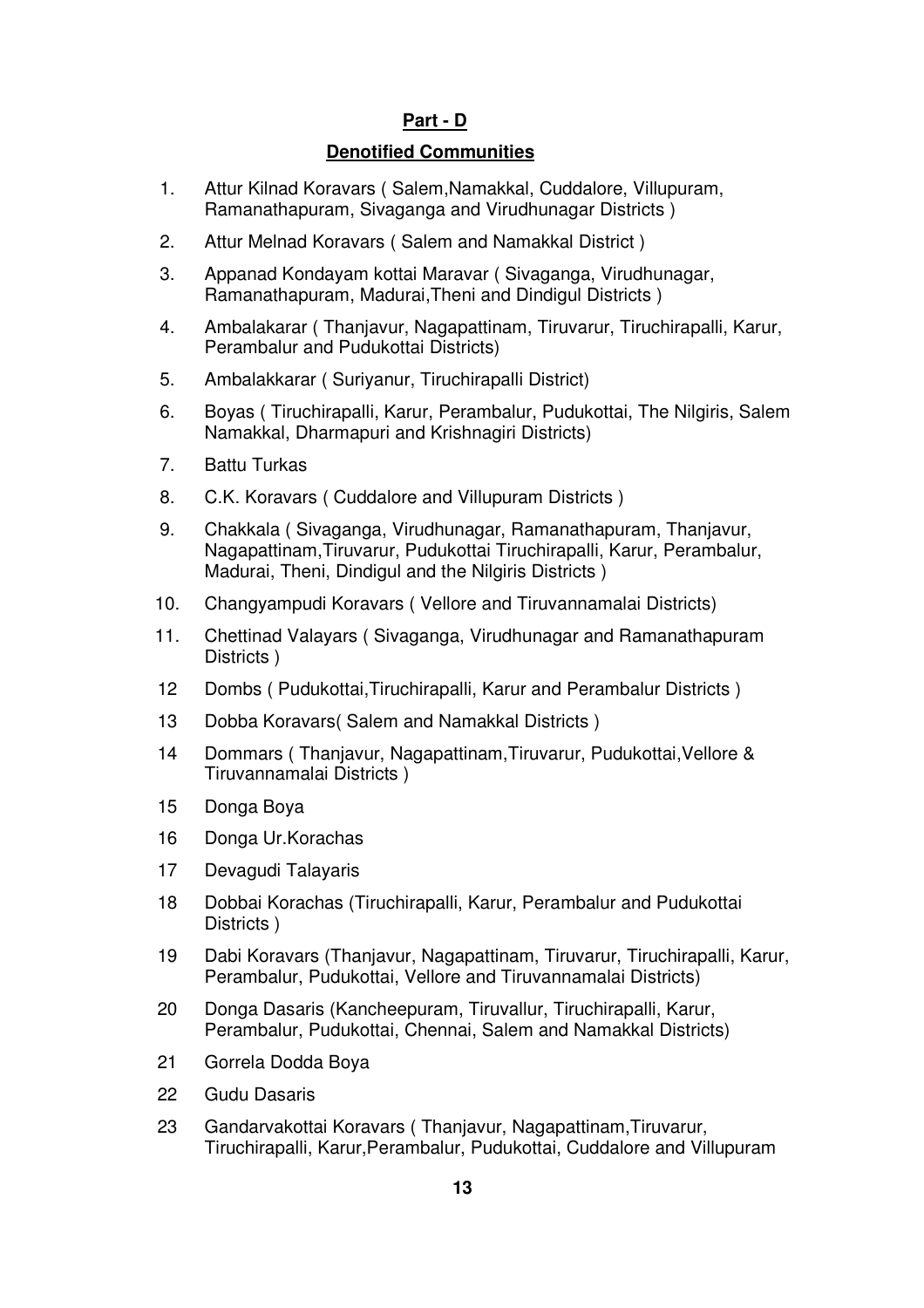# **Part - D**

## **Denotified Communities**

- 1. Attur Kilnad Koravars ( Salem,Namakkal, Cuddalore, Villupuram, Ramanathapuram, Sivaganga and Virudhunagar Districts )
- 2. Attur Melnad Koravars ( Salem and Namakkal District )
- 3. Appanad Kondayam kottai Maravar ( Sivaganga, Virudhunagar, Ramanathapuram, Madurai,Theni and Dindigul Districts )
- 4. Ambalakarar ( Thanjavur, Nagapattinam, Tiruvarur, Tiruchirapalli, Karur, Perambalur and Pudukottai Districts)
- 5. Ambalakkarar ( Suriyanur, Tiruchirapalli District)
- 6. Boyas ( Tiruchirapalli, Karur, Perambalur, Pudukottai, The Nilgiris, Salem Namakkal, Dharmapuri and Krishnagiri Districts)
- 7. Battu Turkas
- 8. C.K. Koravars ( Cuddalore and Villupuram Districts )
- 9. Chakkala ( Sivaganga, Virudhunagar, Ramanathapuram, Thanjavur, Nagapattinam,Tiruvarur, Pudukottai Tiruchirapalli, Karur, Perambalur, Madurai, Theni, Dindigul and the Nilgiris Districts )
- 10. Changyampudi Koravars ( Vellore and Tiruvannamalai Districts)
- 11. Chettinad Valayars ( Sivaganga, Virudhunagar and Ramanathapuram Districts )
- 12 Dombs ( Pudukottai,Tiruchirapalli, Karur and Perambalur Districts )
- 13 Dobba Koravars( Salem and Namakkal Districts )
- 14 Dommars ( Thanjavur, Nagapattinam,Tiruvarur, Pudukottai,Vellore & Tiruvannamalai Districts )
- 15 Donga Boya
- 16 Donga Ur.Korachas
- 17 Devagudi Talayaris
- 18 Dobbai Korachas (Tiruchirapalli, Karur, Perambalur and Pudukottai Districts )
- 19 Dabi Koravars (Thanjavur, Nagapattinam, Tiruvarur, Tiruchirapalli, Karur, Perambalur, Pudukottai, Vellore and Tiruvannamalai Districts)
- 20 Donga Dasaris (Kancheepuram, Tiruvallur, Tiruchirapalli, Karur, Perambalur, Pudukottai, Chennai, Salem and Namakkal Districts)
- 21 Gorrela Dodda Boya
- 22 Gudu Dasaris
- 23 Gandarvakottai Koravars ( Thanjavur, Nagapattinam,Tiruvarur, Tiruchirapalli, Karur,Perambalur, Pudukottai, Cuddalore and Villupuram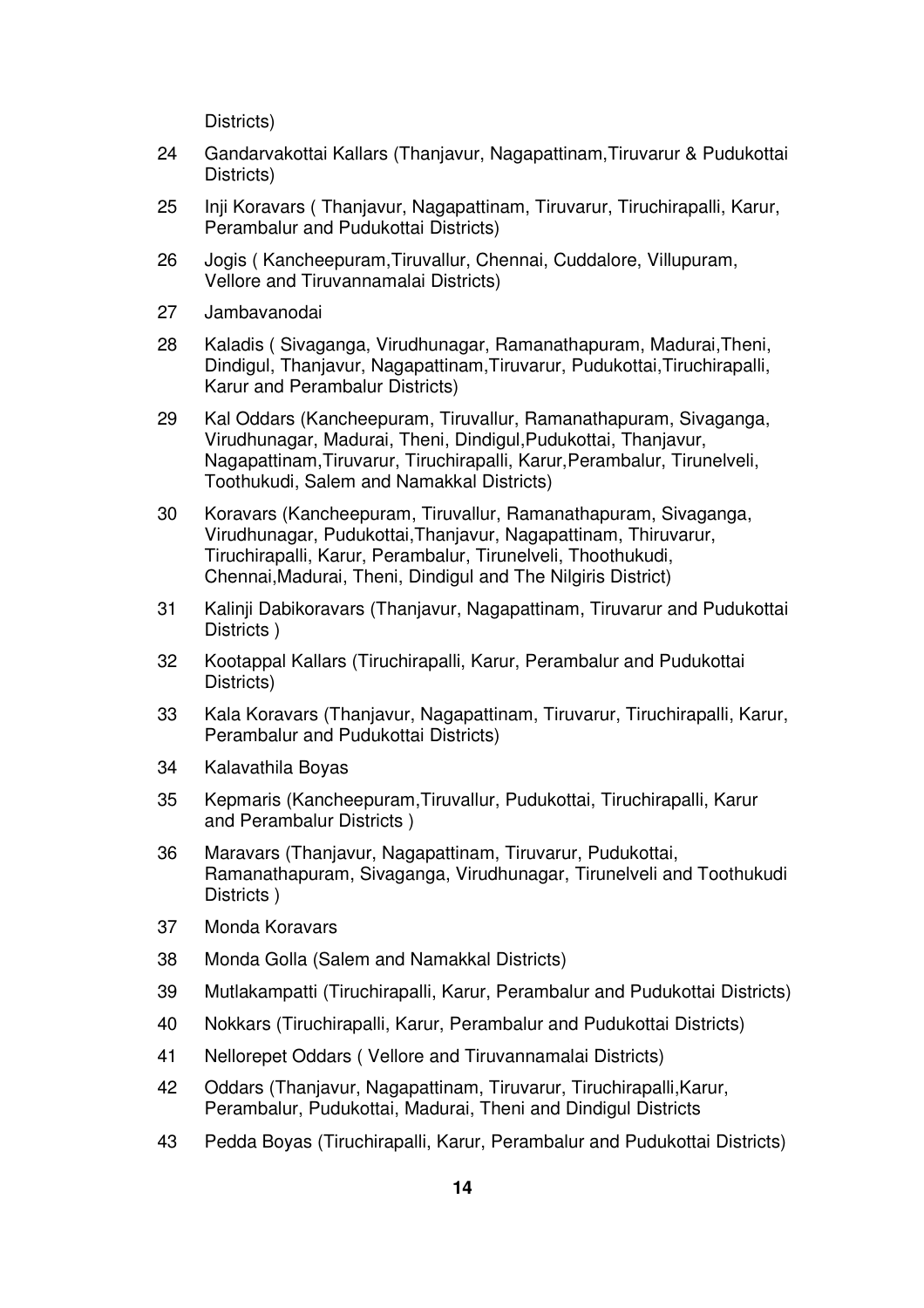Districts)

- 24 Gandarvakottai Kallars (Thanjavur, Nagapattinam,Tiruvarur & Pudukottai Districts)
- 25 Inji Koravars ( Thanjavur, Nagapattinam, Tiruvarur, Tiruchirapalli, Karur, Perambalur and Pudukottai Districts)
- 26 Jogis ( Kancheepuram,Tiruvallur, Chennai, Cuddalore, Villupuram, Vellore and Tiruvannamalai Districts)
- 27 Jambavanodai
- 28 Kaladis ( Sivaganga, Virudhunagar, Ramanathapuram, Madurai,Theni, Dindigul, Thanjavur, Nagapattinam,Tiruvarur, Pudukottai,Tiruchirapalli, Karur and Perambalur Districts)
- 29 Kal Oddars (Kancheepuram, Tiruvallur, Ramanathapuram, Sivaganga, Virudhunagar, Madurai, Theni, Dindigul,Pudukottai, Thanjavur, Nagapattinam,Tiruvarur, Tiruchirapalli, Karur,Perambalur, Tirunelveli, Toothukudi, Salem and Namakkal Districts)
- 30 Koravars (Kancheepuram, Tiruvallur, Ramanathapuram, Sivaganga, Virudhunagar, Pudukottai,Thanjavur, Nagapattinam, Thiruvarur, Tiruchirapalli, Karur, Perambalur, Tirunelveli, Thoothukudi, Chennai,Madurai, Theni, Dindigul and The Nilgiris District)
- 31 Kalinji Dabikoravars (Thanjavur, Nagapattinam, Tiruvarur and Pudukottai Districts )
- 32 Kootappal Kallars (Tiruchirapalli, Karur, Perambalur and Pudukottai Districts)
- 33 Kala Koravars (Thanjavur, Nagapattinam, Tiruvarur, Tiruchirapalli, Karur, Perambalur and Pudukottai Districts)
- 34 Kalavathila Boyas
- 35 Kepmaris (Kancheepuram,Tiruvallur, Pudukottai, Tiruchirapalli, Karur and Perambalur Districts )
- 36 Maravars (Thanjavur, Nagapattinam, Tiruvarur, Pudukottai, Ramanathapuram, Sivaganga, Virudhunagar, Tirunelveli and Toothukudi Districts )
- 37 Monda Koravars
- 38 Monda Golla (Salem and Namakkal Districts)
- 39 Mutlakampatti (Tiruchirapalli, Karur, Perambalur and Pudukottai Districts)
- 40 Nokkars (Tiruchirapalli, Karur, Perambalur and Pudukottai Districts)
- 41 Nellorepet Oddars ( Vellore and Tiruvannamalai Districts)
- 42 Oddars (Thanjavur, Nagapattinam, Tiruvarur, Tiruchirapalli,Karur, Perambalur, Pudukottai, Madurai, Theni and Dindigul Districts
- 43 Pedda Boyas (Tiruchirapalli, Karur, Perambalur and Pudukottai Districts)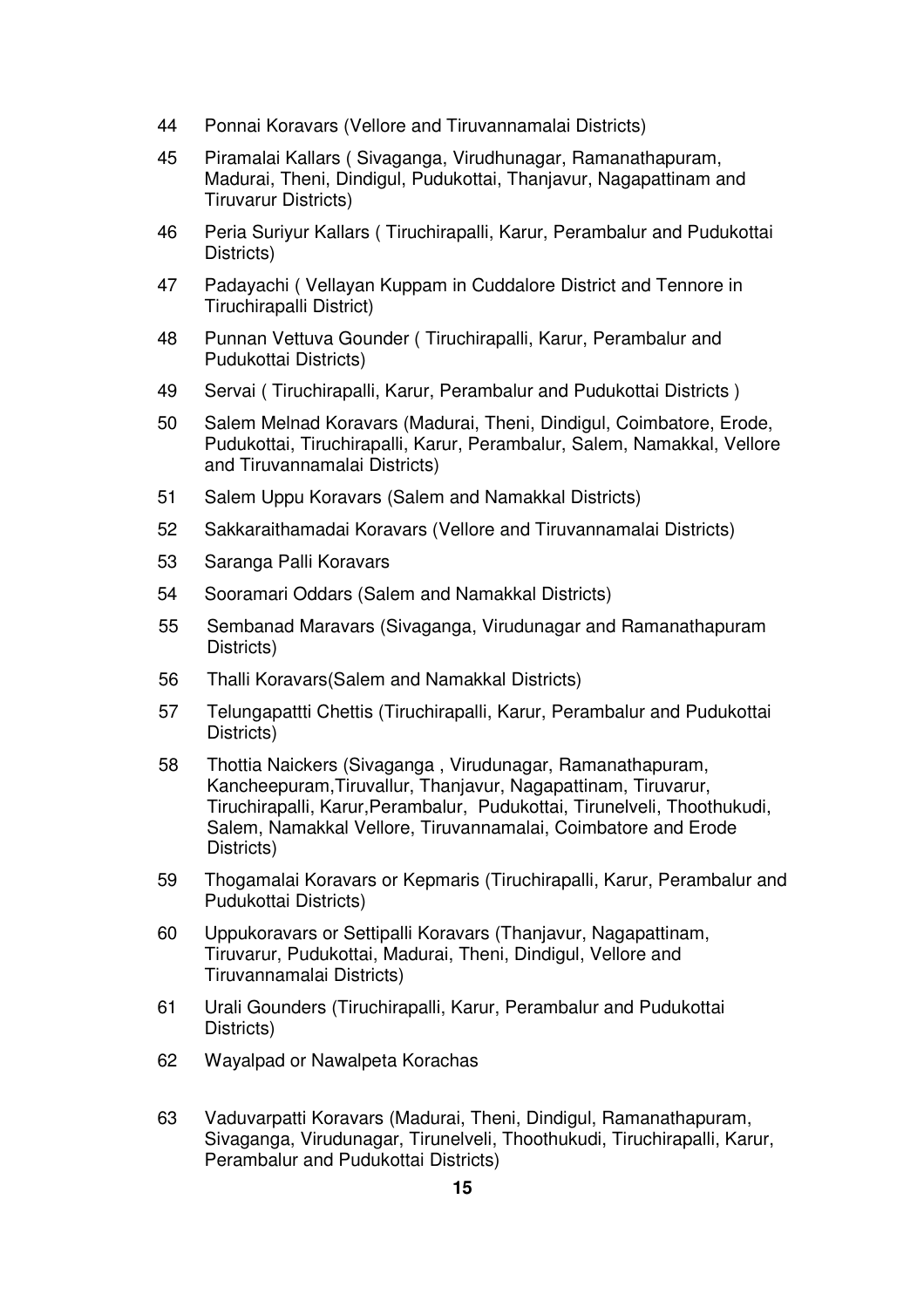- 44 Ponnai Koravars (Vellore and Tiruvannamalai Districts)
- 45 Piramalai Kallars ( Sivaganga, Virudhunagar, Ramanathapuram, Madurai, Theni, Dindigul, Pudukottai, Thanjavur, Nagapattinam and Tiruvarur Districts)
- 46 Peria Suriyur Kallars ( Tiruchirapalli, Karur, Perambalur and Pudukottai Districts)
- 47 Padayachi ( Vellayan Kuppam in Cuddalore District and Tennore in Tiruchirapalli District)
- 48 Punnan Vettuva Gounder ( Tiruchirapalli, Karur, Perambalur and Pudukottai Districts)
- 49 Servai ( Tiruchirapalli, Karur, Perambalur and Pudukottai Districts )
- 50 Salem Melnad Koravars (Madurai, Theni, Dindigul, Coimbatore, Erode, Pudukottai, Tiruchirapalli, Karur, Perambalur, Salem, Namakkal, Vellore and Tiruvannamalai Districts)
- 51 Salem Uppu Koravars (Salem and Namakkal Districts)
- 52 Sakkaraithamadai Koravars (Vellore and Tiruvannamalai Districts)
- 53 Saranga Palli Koravars
- 54 Sooramari Oddars (Salem and Namakkal Districts)
- 55 Sembanad Maravars (Sivaganga, Virudunagar and Ramanathapuram Districts)
- 56 Thalli Koravars(Salem and Namakkal Districts)
- 57 Telungapattti Chettis (Tiruchirapalli, Karur, Perambalur and Pudukottai Districts)
- 58 Thottia Naickers (Sivaganga , Virudunagar, Ramanathapuram, Kancheepuram,Tiruvallur, Thanjavur, Nagapattinam, Tiruvarur, Tiruchirapalli, Karur,Perambalur, Pudukottai, Tirunelveli, Thoothukudi, Salem, Namakkal Vellore, Tiruvannamalai, Coimbatore and Erode Districts)
- 59 Thogamalai Koravars or Kepmaris (Tiruchirapalli, Karur, Perambalur and Pudukottai Districts)
- 60 Uppukoravars or Settipalli Koravars (Thanjavur, Nagapattinam, Tiruvarur, Pudukottai, Madurai, Theni, Dindigul, Vellore and Tiruvannamalai Districts)
- 61 Urali Gounders (Tiruchirapalli, Karur, Perambalur and Pudukottai Districts)
- 62 Wayalpad or Nawalpeta Korachas
- 63 Vaduvarpatti Koravars (Madurai, Theni, Dindigul, Ramanathapuram, Sivaganga, Virudunagar, Tirunelveli, Thoothukudi, Tiruchirapalli, Karur, Perambalur and Pudukottai Districts)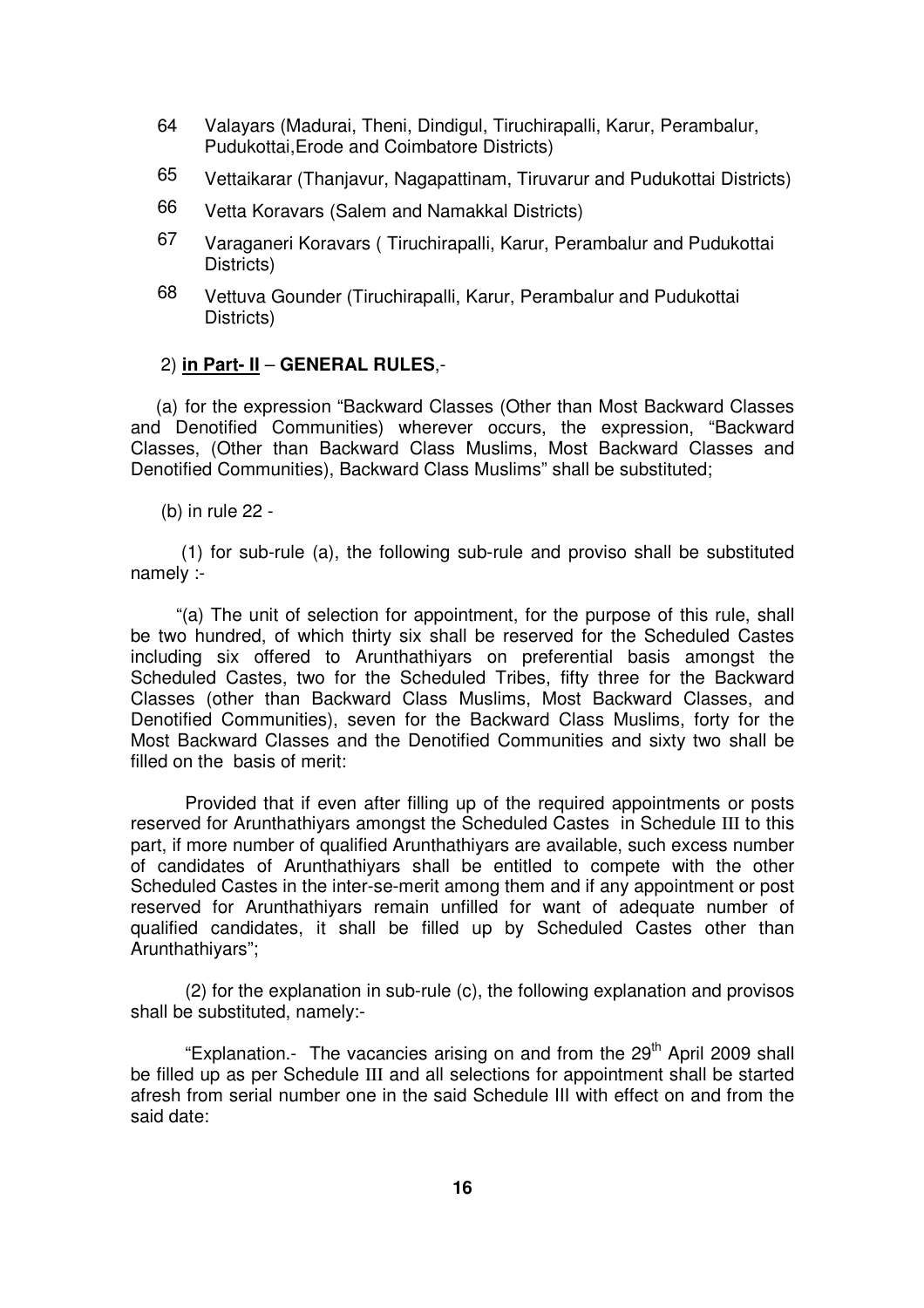- 64 Valayars (Madurai, Theni, Dindigul, Tiruchirapalli, Karur, Perambalur, Pudukottai,Erode and Coimbatore Districts)
- 65 Vettaikarar (Thanjavur, Nagapattinam, Tiruvarur and Pudukottai Districts)
- 66 Vetta Koravars (Salem and Namakkal Districts)
- 67 Varaganeri Koravars ( Tiruchirapalli, Karur, Perambalur and Pudukottai Districts)
- 68 Vettuva Gounder (Tiruchirapalli, Karur, Perambalur and Pudukottai Districts)

#### 2) **in Part- II** – **GENERAL RULES**,-

 (a) for the expression "Backward Classes (Other than Most Backward Classes and Denotified Communities) wherever occurs, the expression, "Backward Classes, (Other than Backward Class Muslims, Most Backward Classes and Denotified Communities), Backward Class Muslims" shall be substituted;

(b) in rule 22 -

 (1) for sub-rule (a), the following sub-rule and proviso shall be substituted namely :-

 "(a) The unit of selection for appointment, for the purpose of this rule, shall be two hundred, of which thirty six shall be reserved for the Scheduled Castes including six offered to Arunthathiyars on preferential basis amongst the Scheduled Castes, two for the Scheduled Tribes, fifty three for the Backward Classes (other than Backward Class Muslims, Most Backward Classes, and Denotified Communities), seven for the Backward Class Muslims, forty for the Most Backward Classes and the Denotified Communities and sixty two shall be filled on the basis of merit:

Provided that if even after filling up of the required appointments or posts reserved for Arunthathiyars amongst the Scheduled Castes in Schedule III to this part, if more number of qualified Arunthathiyars are available, such excess number of candidates of Arunthathiyars shall be entitled to compete with the other Scheduled Castes in the inter-se-merit among them and if any appointment or post reserved for Arunthathiyars remain unfilled for want of adequate number of qualified candidates, it shall be filled up by Scheduled Castes other than Arunthathiyars";

(2) for the explanation in sub-rule (c), the following explanation and provisos shall be substituted, namely:-

"Explanation.- The vacancies arising on and from the  $29<sup>th</sup>$  April 2009 shall be filled up as per Schedule III and all selections for appointment shall be started afresh from serial number one in the said Schedule III with effect on and from the said date: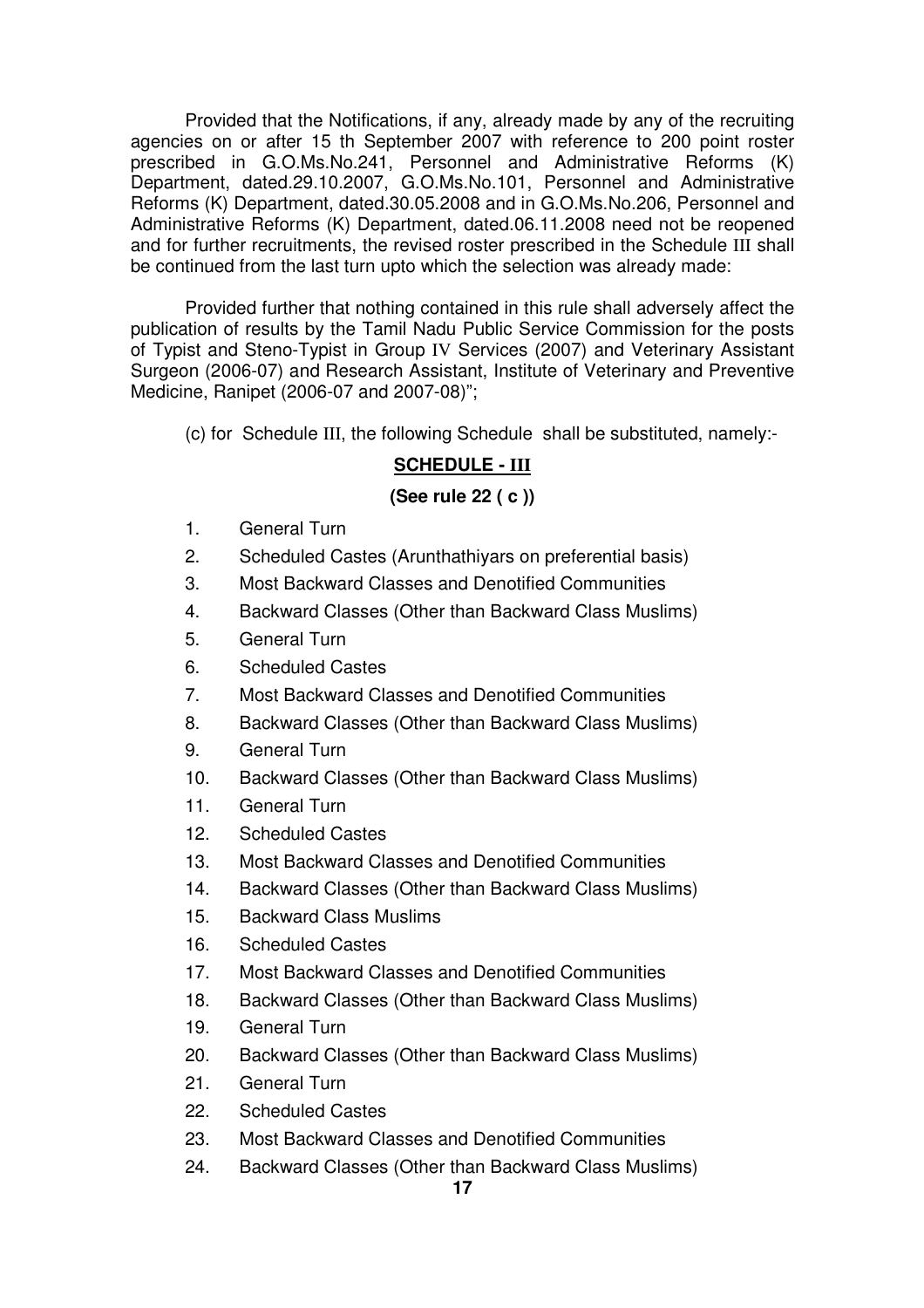Provided that the Notifications, if any, already made by any of the recruiting agencies on or after 15 th September 2007 with reference to 200 point roster prescribed in G.O.Ms.No.241, Personnel and Administrative Reforms (K) Department, dated.29.10.2007, G.O.Ms.No.101, Personnel and Administrative Reforms (K) Department, dated.30.05.2008 and in G.O.Ms.No.206, Personnel and Administrative Reforms (K) Department, dated.06.11.2008 need not be reopened and for further recruitments, the revised roster prescribed in the Schedule III shall be continued from the last turn upto which the selection was already made:

 Provided further that nothing contained in this rule shall adversely affect the publication of results by the Tamil Nadu Public Service Commission for the posts of Typist and Steno-Typist in Group IV Services (2007) and Veterinary Assistant Surgeon (2006-07) and Research Assistant, Institute of Veterinary and Preventive Medicine, Ranipet (2006-07 and 2007-08)";

(c) for Schedule III, the following Schedule shall be substituted, namely:-

# **SCHEDULE - III**

## **(See rule 22 ( c ))**

- 1. General Turn
- 2. Scheduled Castes (Arunthathiyars on preferential basis)
- 3. Most Backward Classes and Denotified Communities
- 4. Backward Classes (Other than Backward Class Muslims)
- 5. General Turn
- 6. Scheduled Castes
- 7. Most Backward Classes and Denotified Communities
- 8. Backward Classes (Other than Backward Class Muslims)
- 9. General Turn
- 10. Backward Classes (Other than Backward Class Muslims)
- 11. General Turn
- 12. Scheduled Castes
- 13. Most Backward Classes and Denotified Communities
- 14. Backward Classes (Other than Backward Class Muslims)
- 15. Backward Class Muslims
- 16. Scheduled Castes
- 17. Most Backward Classes and Denotified Communities
- 18. Backward Classes (Other than Backward Class Muslims)
- 19. General Turn
- 20. Backward Classes (Other than Backward Class Muslims)
- 21. General Turn
- 22. Scheduled Castes
- 23. Most Backward Classes and Denotified Communities
- 24. Backward Classes (Other than Backward Class Muslims)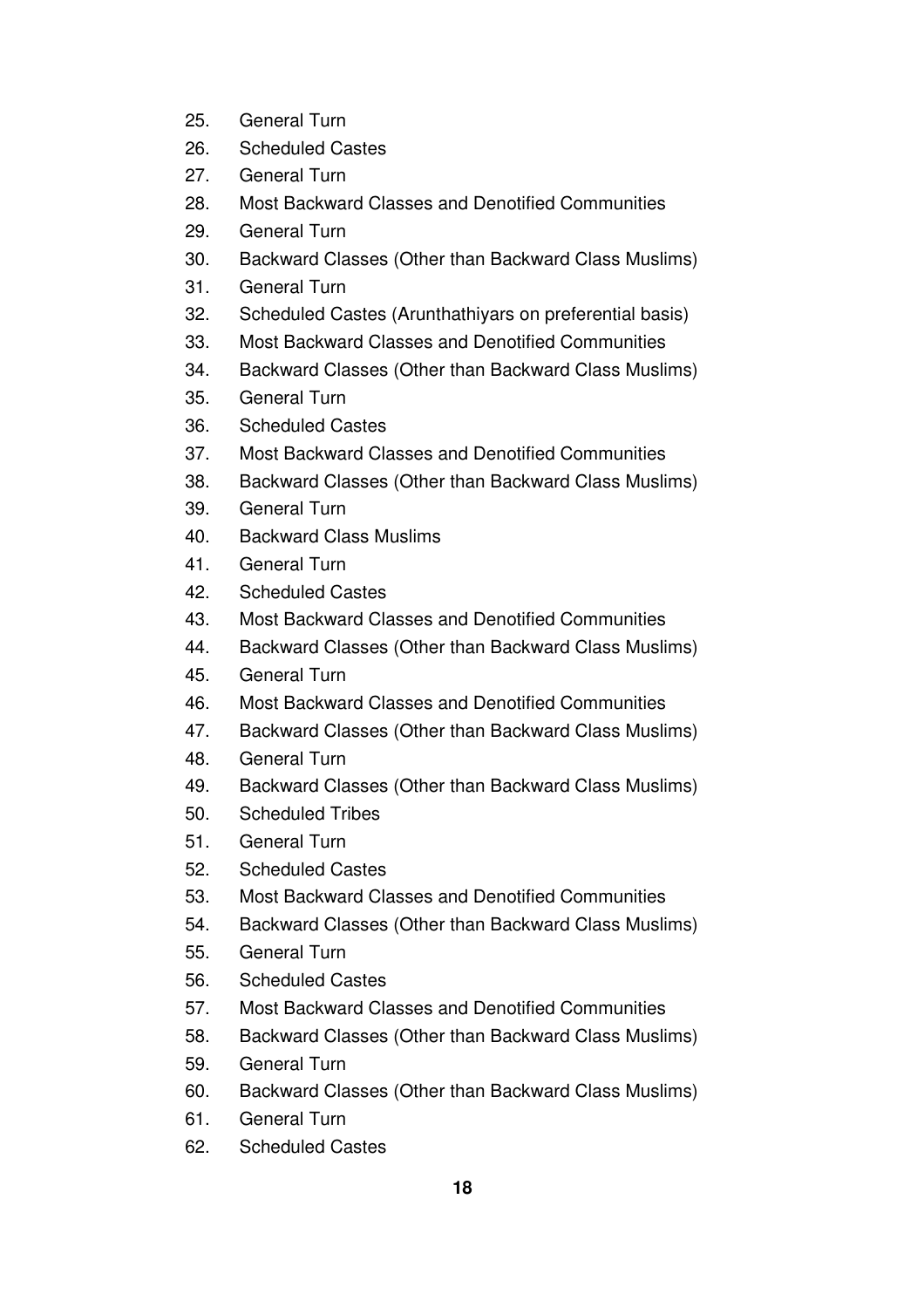- 25. General Turn
- 26. Scheduled Castes
- 27. General Turn
- 28. Most Backward Classes and Denotified Communities
- 29. General Turn
- 30. Backward Classes (Other than Backward Class Muslims)
- 31. General Turn
- 32. Scheduled Castes (Arunthathiyars on preferential basis)
- 33. Most Backward Classes and Denotified Communities
- 34. Backward Classes (Other than Backward Class Muslims)
- 35. General Turn
- 36. Scheduled Castes
- 37. Most Backward Classes and Denotified Communities
- 38. Backward Classes (Other than Backward Class Muslims)
- 39. General Turn
- 40. Backward Class Muslims
- 41. General Turn
- 42. Scheduled Castes
- 43. Most Backward Classes and Denotified Communities
- 44. Backward Classes (Other than Backward Class Muslims)
- 45. General Turn
- 46. Most Backward Classes and Denotified Communities
- 47. Backward Classes (Other than Backward Class Muslims)
- 48. General Turn
- 49. Backward Classes (Other than Backward Class Muslims)
- 50. Scheduled Tribes
- 51. General Turn
- 52. Scheduled Castes
- 53. Most Backward Classes and Denotified Communities
- 54. Backward Classes (Other than Backward Class Muslims)
- 55. General Turn
- 56. Scheduled Castes
- 57. Most Backward Classes and Denotified Communities
- 58. Backward Classes (Other than Backward Class Muslims)
- 59. General Turn
- 60. Backward Classes (Other than Backward Class Muslims)
- 61. General Turn
- 62. Scheduled Castes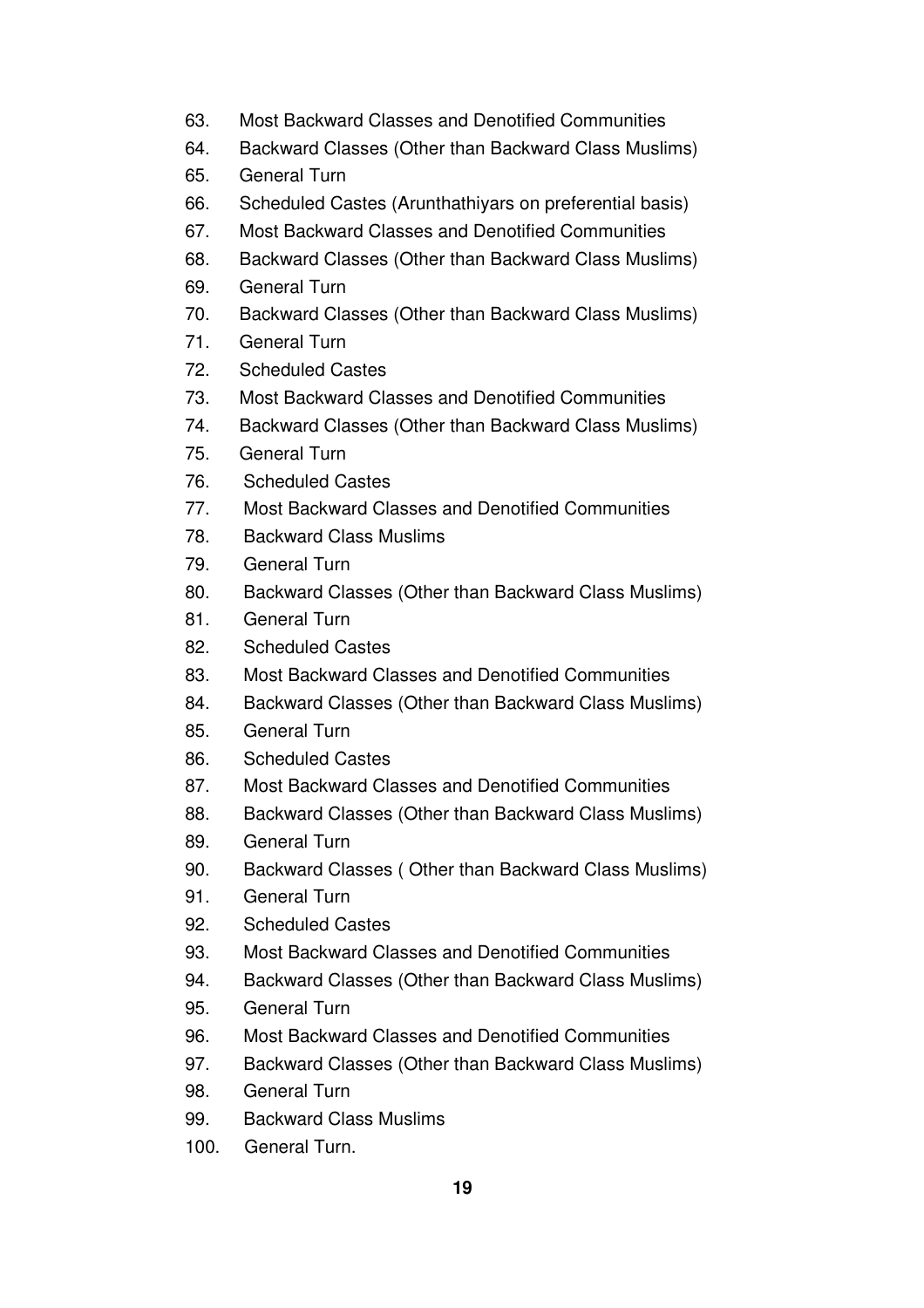- 63. Most Backward Classes and Denotified Communities
- 64. Backward Classes (Other than Backward Class Muslims)
- 65. General Turn
- 66. Scheduled Castes (Arunthathiyars on preferential basis)
- 67. Most Backward Classes and Denotified Communities
- 68. Backward Classes (Other than Backward Class Muslims)
- 69. General Turn
- 70. Backward Classes (Other than Backward Class Muslims)
- 71. General Turn
- 72. Scheduled Castes
- 73. Most Backward Classes and Denotified Communities
- 74. Backward Classes (Other than Backward Class Muslims)
- 75. General Turn
- 76. Scheduled Castes
- 77. Most Backward Classes and Denotified Communities
- 78. Backward Class Muslims
- 79. General Turn
- 80. Backward Classes (Other than Backward Class Muslims)
- 81. General Turn
- 82. Scheduled Castes
- 83. Most Backward Classes and Denotified Communities
- 84. Backward Classes (Other than Backward Class Muslims)
- 85. General Turn
- 86. Scheduled Castes
- 87. Most Backward Classes and Denotified Communities
- 88. Backward Classes (Other than Backward Class Muslims)
- 89. General Turn
- 90. Backward Classes ( Other than Backward Class Muslims)
- 91. General Turn
- 92. Scheduled Castes
- 93. Most Backward Classes and Denotified Communities
- 94. Backward Classes (Other than Backward Class Muslims)
- 95. General Turn
- 96. Most Backward Classes and Denotified Communities
- 97. Backward Classes (Other than Backward Class Muslims)
- 98. General Turn
- 99. Backward Class Muslims
- 100. General Turn.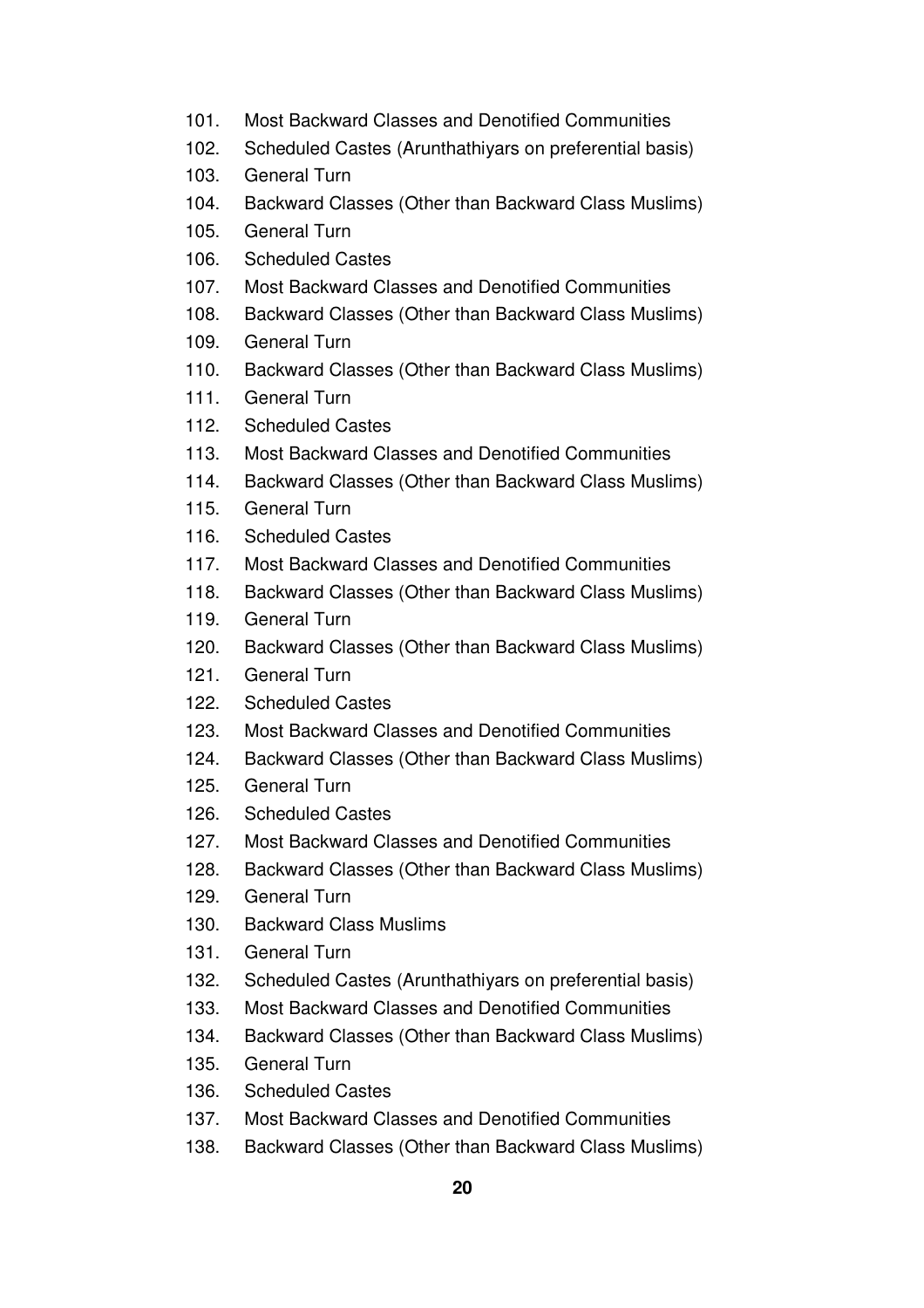- 101. Most Backward Classes and Denotified Communities
- 102. Scheduled Castes (Arunthathiyars on preferential basis)
- 103. General Turn
- 104. Backward Classes (Other than Backward Class Muslims)
- 105. General Turn
- 106. Scheduled Castes
- 107. Most Backward Classes and Denotified Communities
- 108. Backward Classes (Other than Backward Class Muslims)
- 109. General Turn
- 110. Backward Classes (Other than Backward Class Muslims)
- 111. General Turn
- 112. Scheduled Castes
- 113. Most Backward Classes and Denotified Communities
- 114. Backward Classes (Other than Backward Class Muslims)
- 115. General Turn
- 116. Scheduled Castes
- 117. Most Backward Classes and Denotified Communities
- 118. Backward Classes (Other than Backward Class Muslims)
- 119. General Turn
- 120. Backward Classes (Other than Backward Class Muslims)
- 121. General Turn
- 122. Scheduled Castes
- 123. Most Backward Classes and Denotified Communities
- 124. Backward Classes (Other than Backward Class Muslims)
- 125. General Turn
- 126. Scheduled Castes
- 127. Most Backward Classes and Denotified Communities
- 128. Backward Classes (Other than Backward Class Muslims)
- 129. General Turn
- 130. Backward Class Muslims
- 131. General Turn
- 132. Scheduled Castes (Arunthathiyars on preferential basis)
- 133. Most Backward Classes and Denotified Communities
- 134. Backward Classes (Other than Backward Class Muslims)
- 135. General Turn
- 136. Scheduled Castes
- 137. Most Backward Classes and Denotified Communities
- 138. Backward Classes (Other than Backward Class Muslims)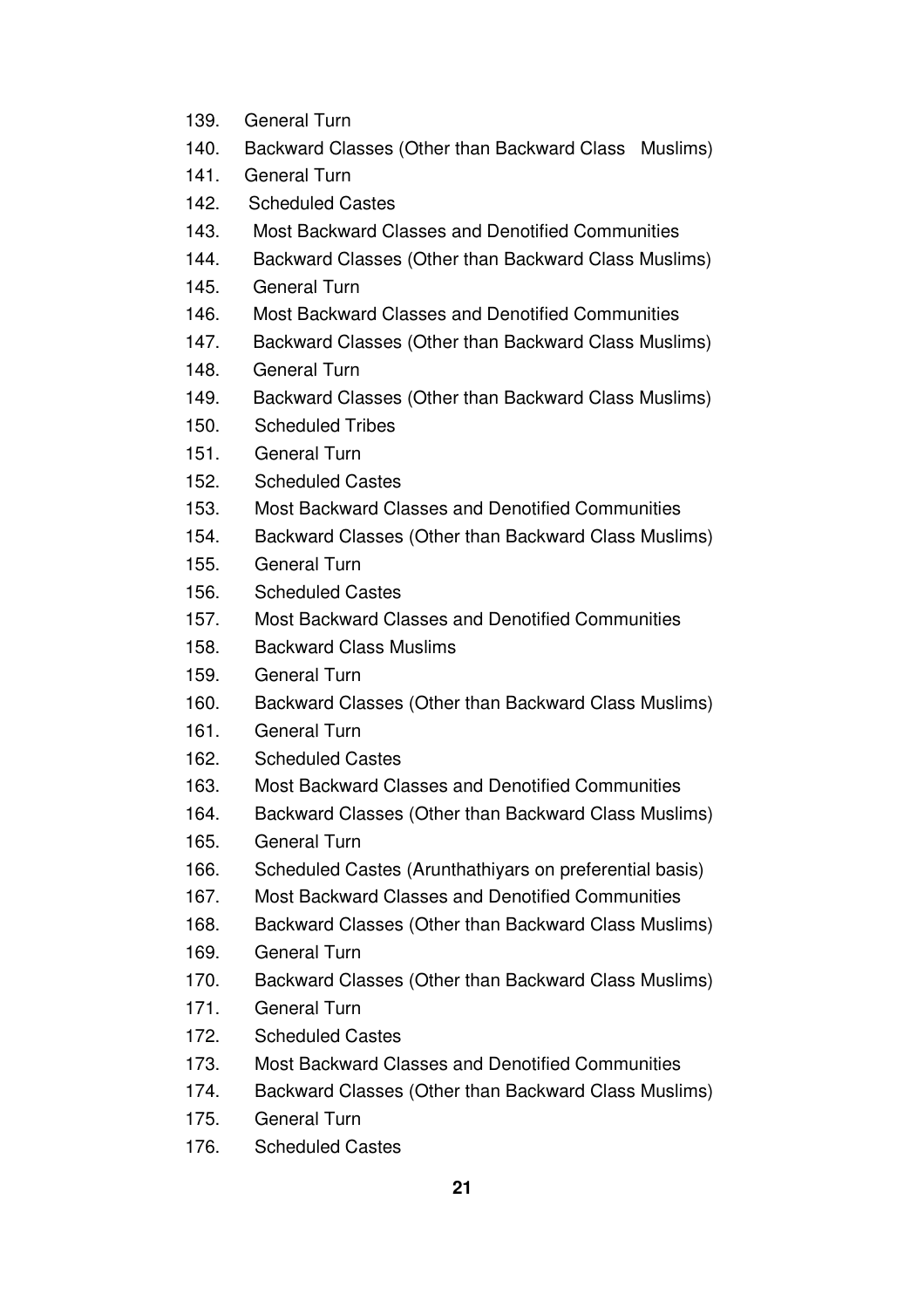- 139. General Turn
- 140. Backward Classes (Other than Backward Class Muslims)
- 141. General Turn
- 142. Scheduled Castes
- 143. Most Backward Classes and Denotified Communities
- 144. Backward Classes (Other than Backward Class Muslims)
- 145. General Turn
- 146. Most Backward Classes and Denotified Communities
- 147. Backward Classes (Other than Backward Class Muslims)
- 148. General Turn
- 149. Backward Classes (Other than Backward Class Muslims)
- 150. Scheduled Tribes
- 151. General Turn
- 152. Scheduled Castes
- 153. Most Backward Classes and Denotified Communities
- 154. Backward Classes (Other than Backward Class Muslims)
- 155. General Turn
- 156. Scheduled Castes
- 157. Most Backward Classes and Denotified Communities
- 158. Backward Class Muslims
- 159. General Turn
- 160. Backward Classes (Other than Backward Class Muslims)
- 161. General Turn
- 162. Scheduled Castes
- 163. Most Backward Classes and Denotified Communities
- 164. Backward Classes (Other than Backward Class Muslims)
- 165. General Turn
- 166. Scheduled Castes (Arunthathiyars on preferential basis)
- 167. Most Backward Classes and Denotified Communities
- 168. Backward Classes (Other than Backward Class Muslims)
- 169. General Turn
- 170. Backward Classes (Other than Backward Class Muslims)
- 171. General Turn
- 172. Scheduled Castes
- 173. Most Backward Classes and Denotified Communities
- 174. Backward Classes (Other than Backward Class Muslims)
- 175. General Turn
- 176. Scheduled Castes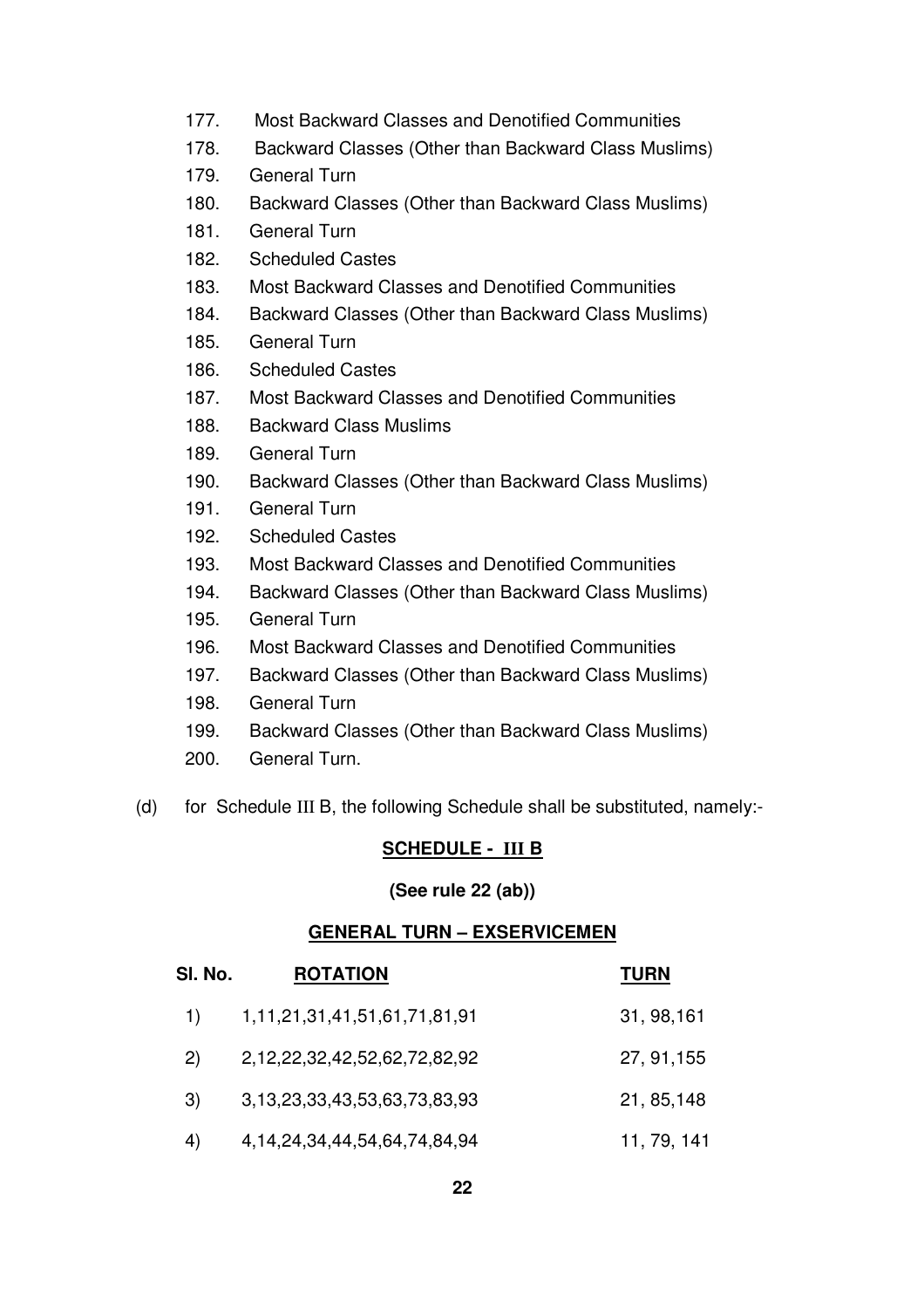- 177. Most Backward Classes and Denotified Communities
- 178. Backward Classes (Other than Backward Class Muslims)
- 179. General Turn
- 180. Backward Classes (Other than Backward Class Muslims)
- 181. General Turn
- 182. Scheduled Castes
- 183. Most Backward Classes and Denotified Communities
- 184. Backward Classes (Other than Backward Class Muslims)
- 185. General Turn
- 186. Scheduled Castes
- 187. Most Backward Classes and Denotified Communities
- 188. Backward Class Muslims
- 189. General Turn
- 190. Backward Classes (Other than Backward Class Muslims)
- 191. General Turn
- 192. Scheduled Castes
- 193. Most Backward Classes and Denotified Communities
- 194. Backward Classes (Other than Backward Class Muslims)
- 195. General Turn
- 196. Most Backward Classes and Denotified Communities
- 197. Backward Classes (Other than Backward Class Muslims)
- 198. General Turn
- 199. Backward Classes (Other than Backward Class Muslims)
- 200. General Turn.
- (d) for Schedule III B, the following Schedule shall be substituted, namely:-

# **SCHEDULE - III B**

### **(See rule 22 (ab))**

### **GENERAL TURN – EXSERVICEMEN**

| SI. No. | <b>ROTATION</b>                       | <b>TURN</b> |
|---------|---------------------------------------|-------------|
| 1)      | 1, 11, 21, 31, 41, 51, 61, 71, 81, 91 | 31, 98, 161 |
| 2)      | 2,12,22,32,42,52,62,72,82,92          | 27, 91, 155 |
| 3)      | 3,13,23,33,43,53,63,73,83,93          | 21, 85, 148 |
| 4)      | 4, 14, 24, 34, 44, 54, 64, 74, 84, 94 | 11, 79, 141 |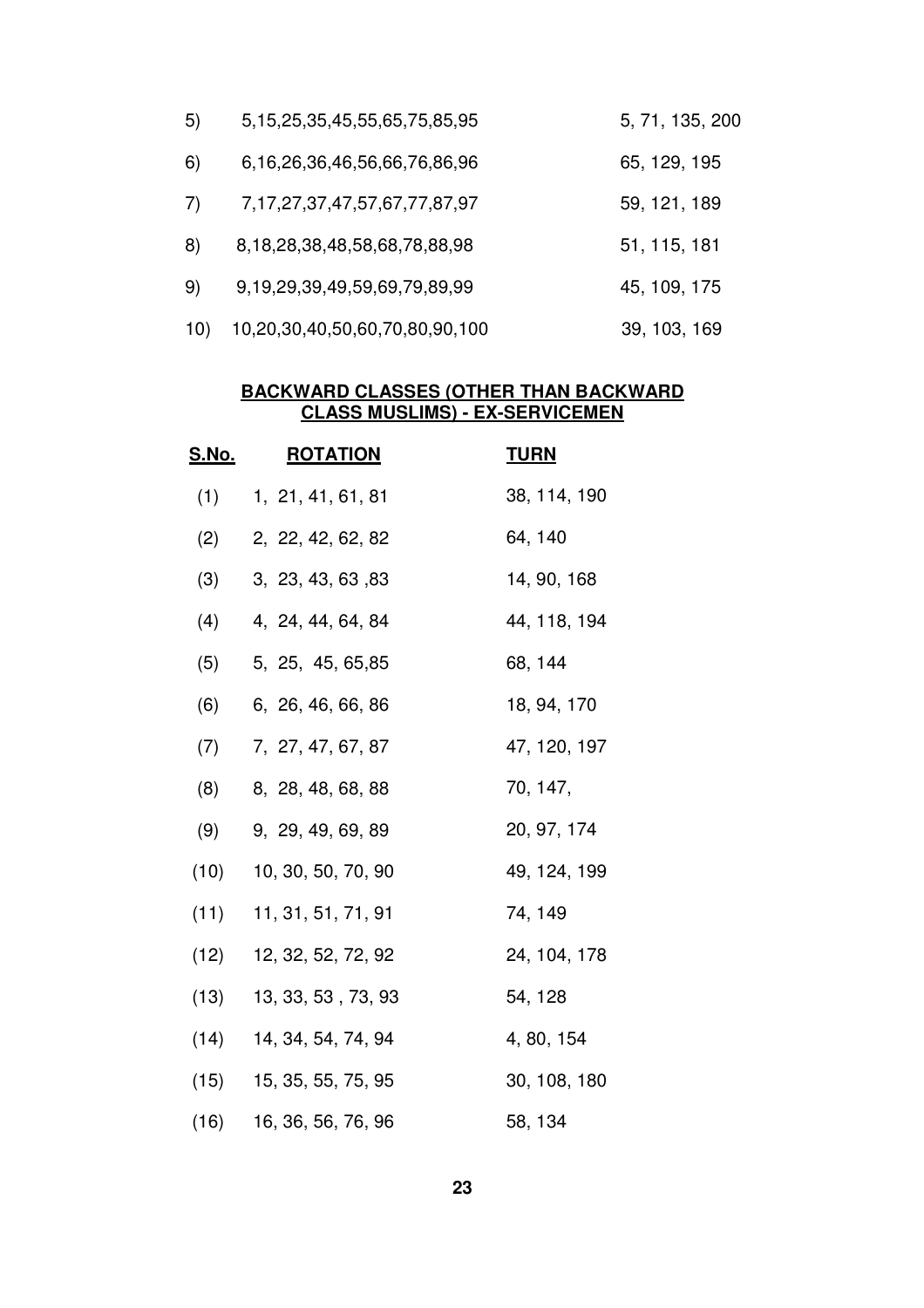| 5)  | 5, 15, 25, 35, 45, 55, 65, 75, 85, 95 | 5, 71, 135, 200 |
|-----|---------------------------------------|-----------------|
| 6)  | 6,16,26,36,46,56,66,76,86,96          | 65, 129, 195    |
| 7)  | 7, 17, 27, 37, 47, 57, 67, 77, 87, 97 | 59, 121, 189    |
| 8)  | 8,18,28,38,48,58,68,78,88,98          | 51, 115, 181    |
| 9)  | 9,19,29,39,49,59,69,79,89,99          | 45, 109, 175    |
| 10) | 10,20,30,40,50,60,70,80,90,100        | 39, 103, 169    |

#### **BACKWARD CLASSES (OTHER THAN BACKWARD CLASS MUSLIMS) - EX-SERVICEMEN**

| <u>S.No.</u> | <b>ROTATION</b>           | <u>TURN</u>  |
|--------------|---------------------------|--------------|
| (1)          | 1, 21, 41, 61, 81         | 38, 114, 190 |
| (2)          | 2, 22, 42, 62, 82         | 64, 140      |
| (3)          | 3, 23, 43, 63, 83         | 14, 90, 168  |
| (4)          | 4, 24, 44, 64, 84         | 44, 118, 194 |
| (5)          | 5, 25, 45, 65, 85         | 68, 144      |
| (6)          | 6, 26, 46, 66, 86         | 18, 94, 170  |
| (7)          | 7, 27, 47, 67, 87         | 47, 120, 197 |
| (8)          | 8, 28, 48, 68, 88         | 70, 147,     |
| (9)          | 9, 29, 49, 69, 89         | 20, 97, 174  |
| (10)         | 10, 30, 50, 70, 90        | 49, 124, 199 |
| (11)         | 11, 31, 51, 71, 91        | 74, 149      |
| (12)         | 12, 32, 52, 72, 92        | 24, 104, 178 |
|              | $(13)$ 13, 33, 53, 73, 93 | 54, 128      |
|              | $(14)$ 14, 34, 54, 74, 94 | 4, 80, 154   |
| (15)         | 15, 35, 55, 75, 95        | 30, 108, 180 |
|              | $(16)$ 16, 36, 56, 76, 96 | 58, 134      |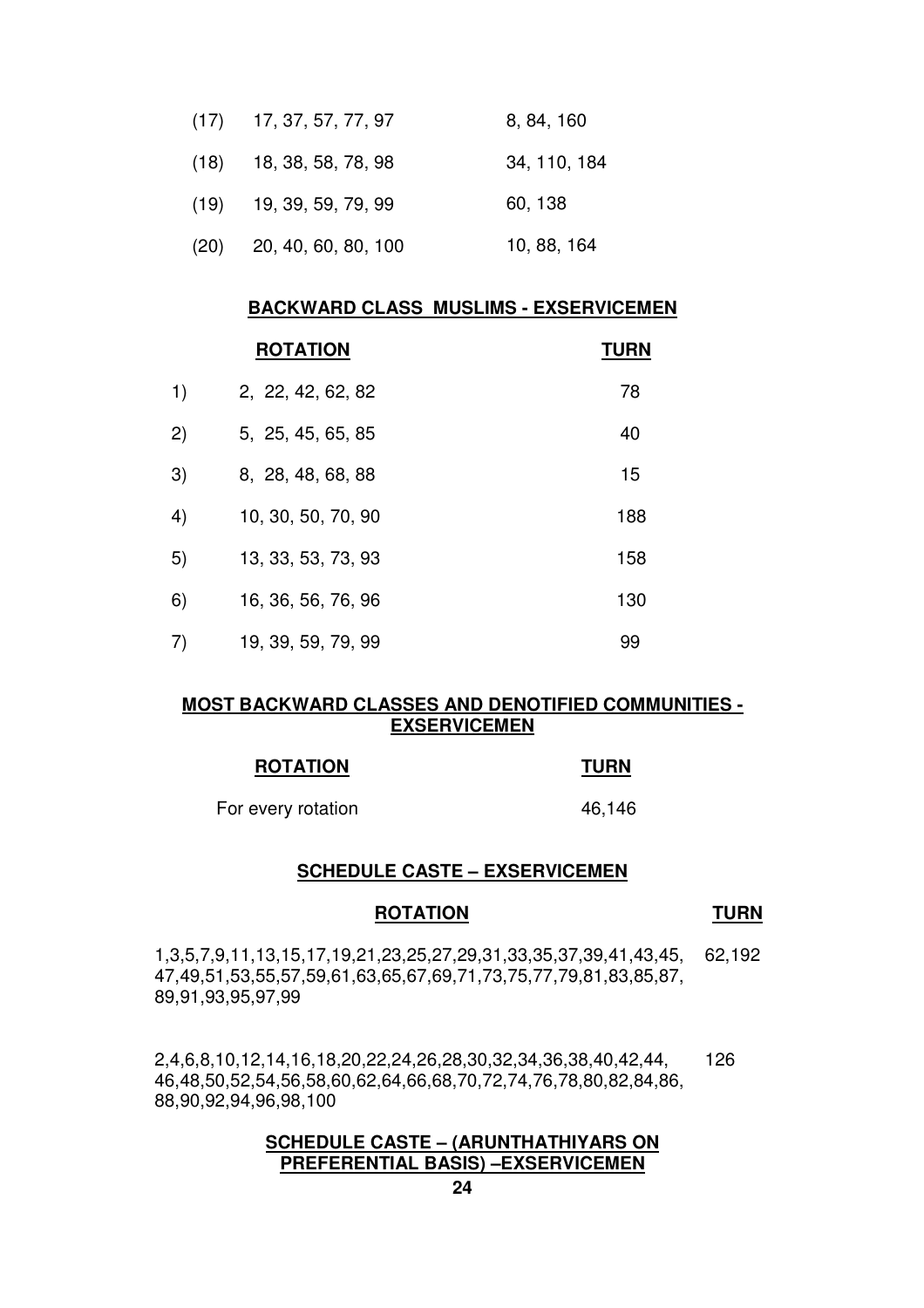| $(17)$ 17, 37, 57, 77, 97  | 8, 84, 160   |
|----------------------------|--------------|
| $(18)$ 18, 38, 58, 78, 98  | 34, 110, 184 |
| $(19)$ 19, 39, 59, 79, 99  | 60, 138      |
| $(20)$ 20, 40, 60, 80, 100 | 10, 88, 164  |

#### **BACKWARD CLASS MUSLIMS - EXSERVICEMEN**

|     | <b>ROTATION</b>    | <b>TURN</b> |
|-----|--------------------|-------------|
| 1)  | 2, 22, 42, 62, 82  | 78          |
| (2) | 5, 25, 45, 65, 85  | 40          |
| 3)  | 8, 28, 48, 68, 88  | 15          |
| 4)  | 10, 30, 50, 70, 90 | 188         |
| 5)  | 13, 33, 53, 73, 93 | 158         |
| 6)  | 16, 36, 56, 76, 96 | 130         |
| 7)  | 19, 39, 59, 79, 99 | 99          |

### **MOST BACKWARD CLASSES AND DENOTIFIED COMMUNITIES - EXSERVICEMEN**

| <b>ROTATION</b>    | <b>TURN</b> |
|--------------------|-------------|
| For every rotation | 46,146      |

# **SCHEDULE CASTE – EXSERVICEMEN**

# **ROTATION TURN**

1,3,5,7,9,11,13,15,17,19,21,23,25,27,29,31,33,35,37,39,41,43,45, 47,49,51,53,55,57,59,61,63,65,67,69,71,73,75,77,79,81,83,85,87, 89,91,93,95,97,99 62,192

2,4,6,8,10,12,14,16,18,20,22,24,26,28,30,32,34,36,38,40,42,44, 46,48,50,52,54,56,58,60,62,64,66,68,70,72,74,76,78,80,82,84,86, 88,90,92,94,96,98,100 126

## **SCHEDULE CASTE – (ARUNTHATHIYARS ON PREFERENTIAL BASIS) –EXSERVICEMEN**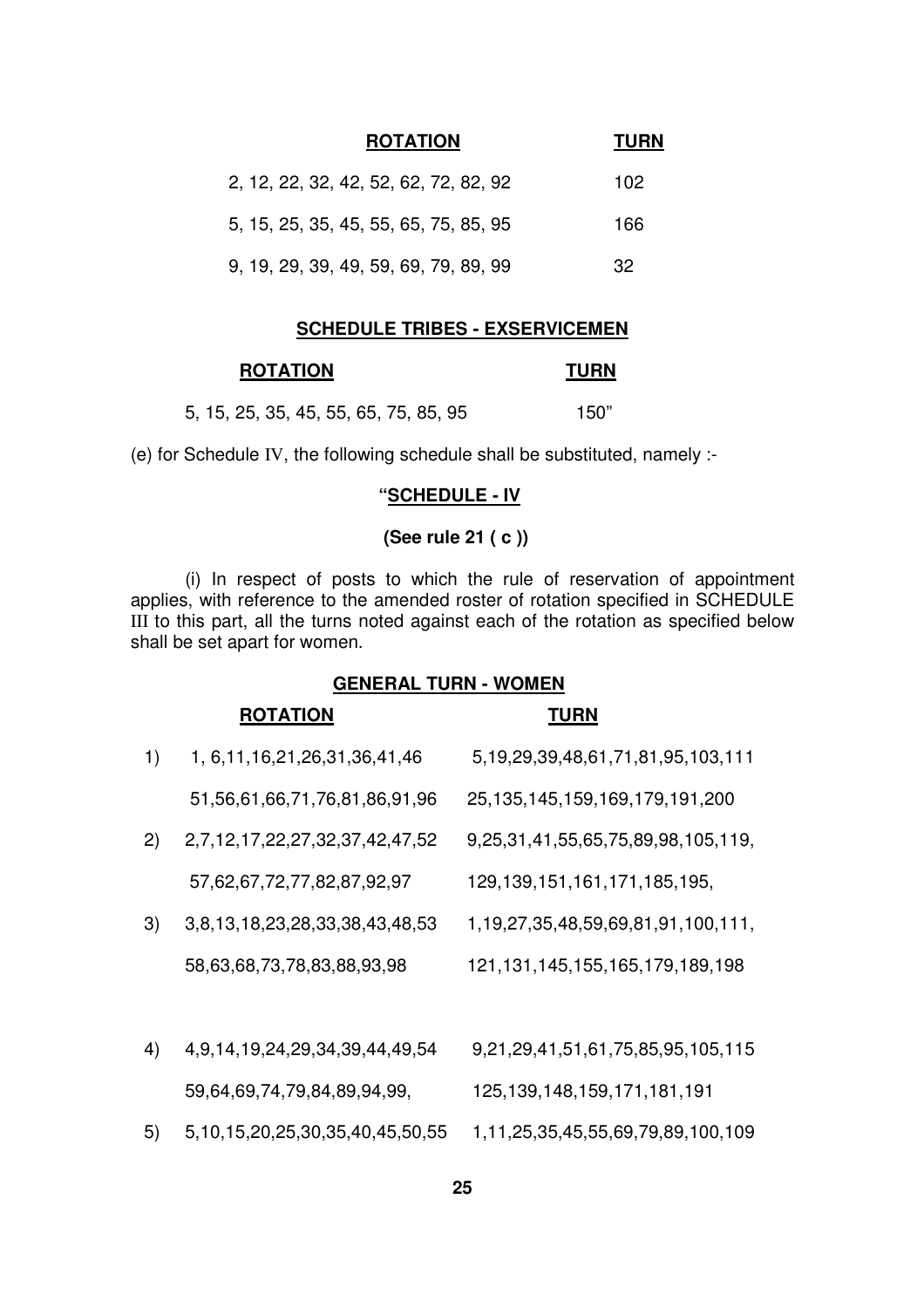| <b>ROTATION</b>                       | <b>TURN</b> |
|---------------------------------------|-------------|
| 2, 12, 22, 32, 42, 52, 62, 72, 82, 92 | 102         |
| 5, 15, 25, 35, 45, 55, 65, 75, 85, 95 | 166         |
| 9, 19, 29, 39, 49, 59, 69, 79, 89, 99 | 32.         |

#### **SCHEDULE TRIBES - EXSERVICEMEN**

#### **ROTATION TURN**

| 5, 15, 25, 35, 45, 55, 65, 75, 85, 95 | 150" |
|---------------------------------------|------|
|---------------------------------------|------|

(e) for Schedule IV, the following schedule shall be substituted, namely :-

### **"SCHEDULE - IV**

# **(See rule 21 ( c ))**

(i) In respect of posts to which the rule of reservation of appointment applies, with reference to the amended roster of rotation specified in SCHEDULE III to this part, all the turns noted against each of the rotation as specified below shall be set apart for women.

#### **GENERAL TURN - WOMEN**

## **ROTATION TURN**

| 1) | 1, 6, 11, 16, 21, 26, 31, 36, 41, 46      | 5, 19, 29, 39, 48, 61, 71, 81, 95, 103, 111  |
|----|-------------------------------------------|----------------------------------------------|
|    | 51,56,61,66,71,76,81,86,91,96             | 25, 135, 145, 159, 169, 179, 191, 200        |
| 2) | 2,7,12,17,22,27,32,37,42,47,52            | 9,25,31,41,55,65,75,89,98,105,119,           |
|    | 57,62,67,72,77,82,87,92,97                | 129, 139, 151, 161, 171, 185, 195,           |
| 3) | 3,8,13,18,23,28,33,38,43,48,53            | 1, 19, 27, 35, 48, 59, 69, 81, 91, 100, 111, |
|    | 58,63,68,73,78,83,88,93,98                | 121, 131, 145, 155, 165, 179, 189, 198       |
|    |                                           |                                              |
| 4) | 4, 9, 14, 19, 24, 29, 34, 39, 44, 49, 54  | 9,21,29,41,51,61,75,85,95,105,115            |
|    | 59,64,69,74,79,84,89,94,99,               | 125, 139, 148, 159, 171, 181, 191            |
| 5) | 5, 10, 15, 20, 25, 30, 35, 40, 45, 50, 55 | 1,11,25,35,45,55,69,79,89,100,109            |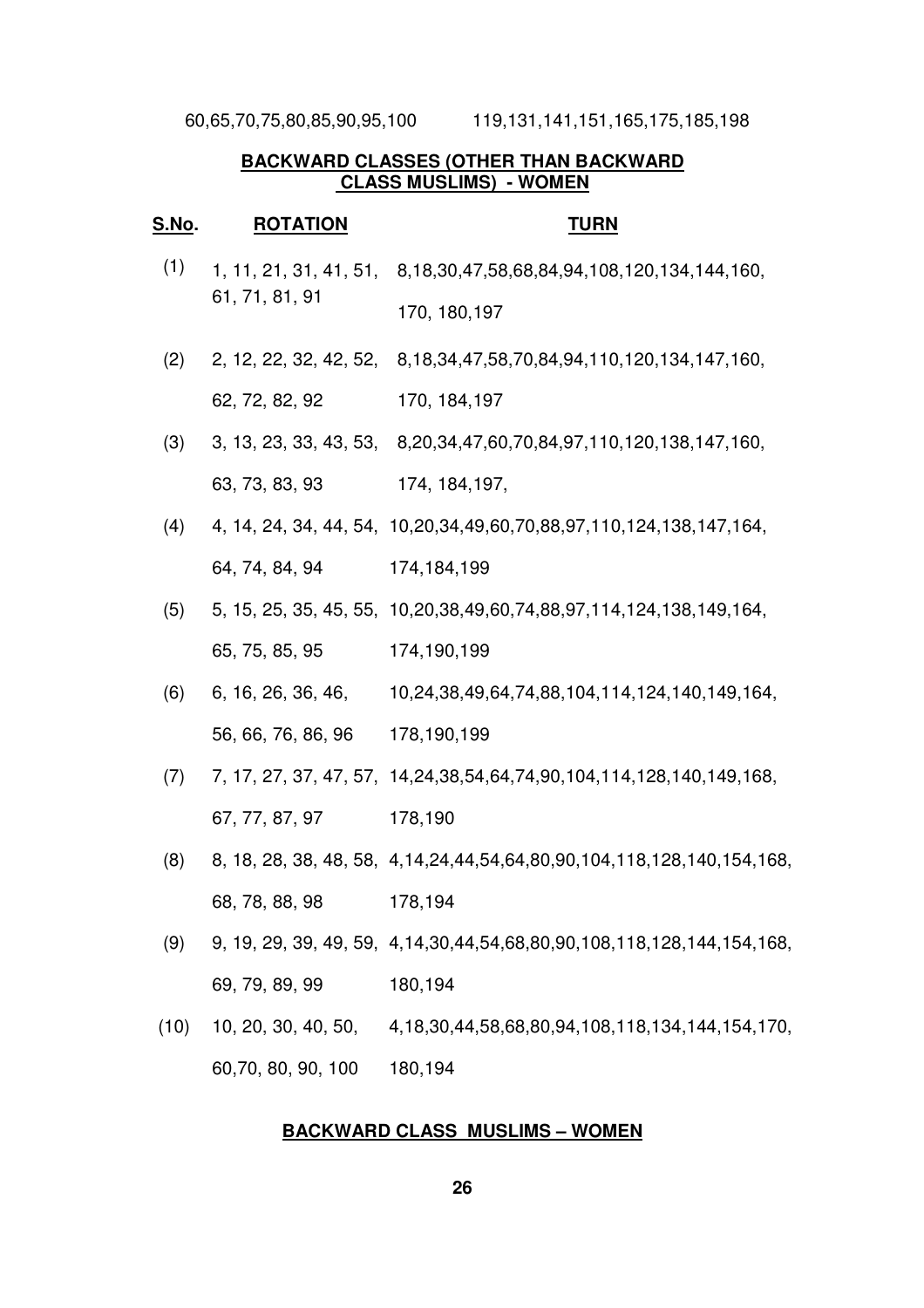60,65,70,75,80,85,90,95,100 119,131,141,151,165,175,185,198

### **BACKWARD CLASSES (OTHER THAN BACKWARD CLASS MUSLIMS) - WOMEN**

#### **S.No. ROTATION TURN**

- $(1)$  1, 11, 21, 31, 41, 51, 8,18,30,47,58,68,84,94,108,120,134,144,160, 61, 71, 81, 91 170, 180,197
- (2) 2, 12, 22, 32, 42, 52, 8,18,34,47,58,70,84,94,110,120,134,147,160, 62, 72, 82, 92 170, 184,197
- (3) 3, 13, 23, 33, 43, 53, 8,20,34,47,60,70,84,97,110,120,138,147,160, 63, 73, 83, 93 174, 184,197,
- (4) 4, 14, 24, 34, 44, 54, 10,20,34,49,60,70,88,97,110,124,138,147,164, 64, 74, 84, 94 174,184,199
- (5) 5, 15, 25, 35, 45, 55, 10,20,38,49,60,74,88,97,114,124,138,149,164, 65, 75, 85, 95 174,190,199
- (6) 6, 16, 26, 36, 46, 56, 66, 76, 86, 96 10,24,38,49,64,74,88,104,114,124,140,149,164, 178,190,199
- (7) 7, 17, 27, 37, 47, 57, 14,24,38,54,64,74,90,104,114,128,140,149,168, 67, 77, 87, 97 178,190
- (8) 8, 18, 28, 38, 48, 58, 4,14,24,44,54,64,80,90,104,118,128,140,154,168, 68, 78, 88, 98 178,194
- (9) 9, 19, 29, 39, 49, 59, 4,14,30,44,54,68,80,90,108,118,128,144,154,168, 69, 79, 89, 99 180,194
- (10) 10, 20, 30, 40, 50, 60,70, 80, 90, 100 4,18,30,44,58,68,80,94,108,118,134,144,154,170, 180,194

#### **BACKWARD CLASS MUSLIMS – WOMEN**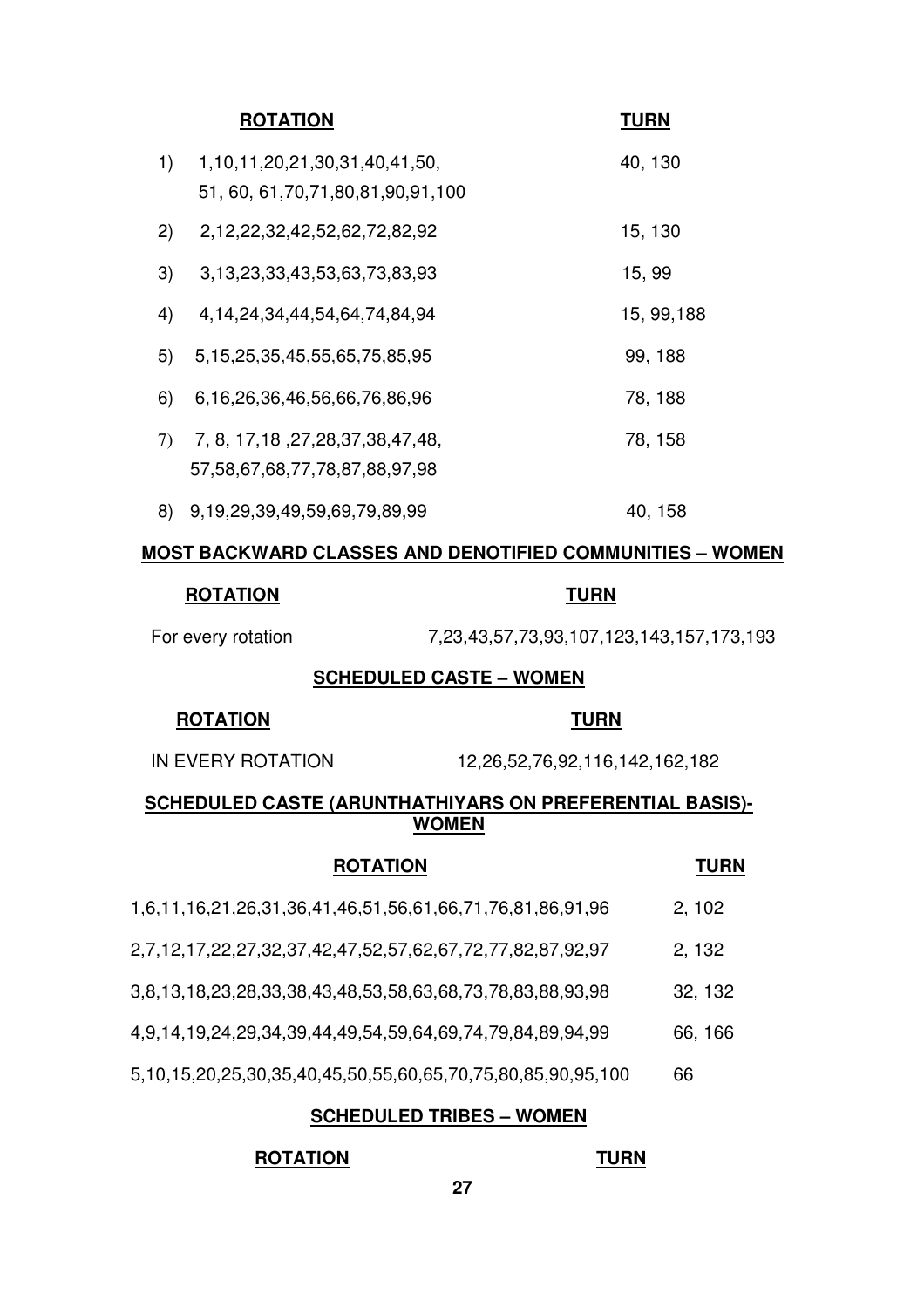|    | <b>ROTATION</b>                                                                   | <b>TURN</b> |
|----|-----------------------------------------------------------------------------------|-------------|
| 1) | 1, 10, 11, 20, 21, 30, 31, 40, 41, 50,<br>51, 60, 61, 70, 71, 80, 81, 90, 91, 100 | 40, 130     |
| 2) | 2,12,22,32,42,52,62,72,82,92                                                      | 15, 130     |
| 3) | 3, 13, 23, 33, 43, 53, 63, 73, 83, 93                                             | 15, 99      |
| 4) | 4, 14, 24, 34, 44, 54, 64, 74, 84, 94                                             | 15, 99, 188 |
| 5) | 5, 15, 25, 35, 45, 55, 65, 75, 85, 95                                             | 99, 188     |
| 6) | 6,16,26,36,46,56,66,76,86,96                                                      | 78, 188     |
| 7) | 7, 8, 17, 18, 27, 28, 37, 38, 47, 48,<br>57, 58, 67, 68, 77, 78, 87, 88, 97, 98   | 78, 158     |
| 8) | 9,19,29,39,49,59,69,79,89,99                                                      | 40, 158     |

# **MOST BACKWARD CLASSES AND DENOTIFIED COMMUNITIES – WOMEN**

### **ROTATION TURN**

For every rotation 7,23,43,57,73,93,107,123,143,157,173,193

# **SCHEDULED CASTE – WOMEN**

#### **ROTATION TURN**

IN EVERY ROTATION 12,26,52,76,92,116,142,162,182

# **SCHEDULED CASTE (ARUNTHATHIYARS ON PREFERENTIAL BASIS)- WOMEN**

| <b>ROTATION</b>                                             | <b>TURN</b> |
|-------------------------------------------------------------|-------------|
| 1,6,11,16,21,26,31,36,41,46,51,56,61,66,71,76,81,86,91,96   | 2, 102      |
| 2,7,12,17,22,27,32,37,42,47,52,57,62,67,72,77,82,87,92,97   | 2, 132      |
| 3,8,13,18,23,28,33,38,43,48,53,58,63,68,73,78,83,88,93,98   | 32, 132     |
| 4,9,14,19,24,29,34,39,44,49,54,59,64,69,74,79,84,89,94,99   | 66, 166     |
| 5,10,15,20,25,30,35,40,45,50,55,60,65,70,75,80,85,90,95,100 | 66          |

# **SCHEDULED TRIBES – WOMEN**

# **ROTATION TURN**

#### **27**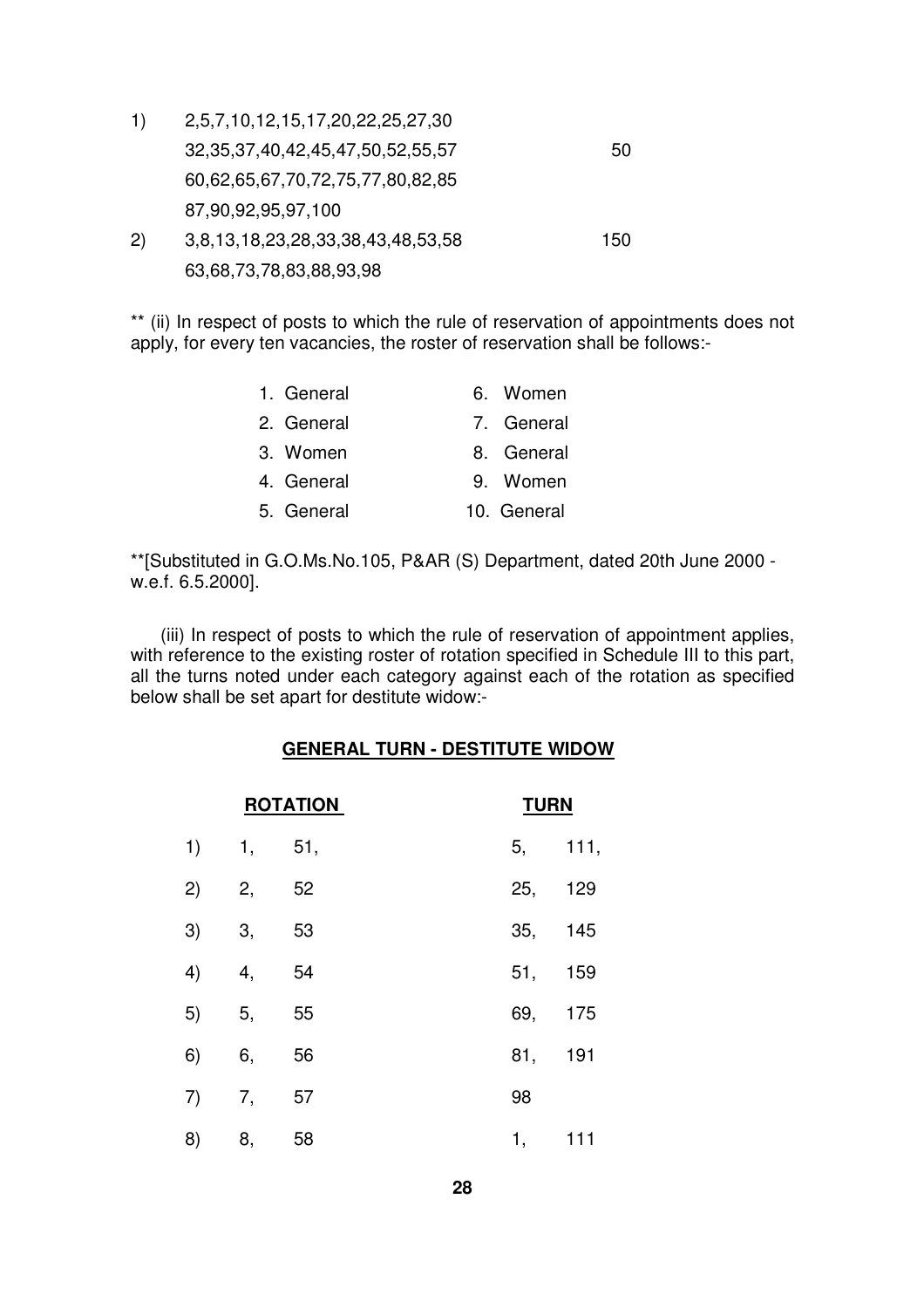- 1) 2,5,7,10,12,15,17,20,22,25,27,30 32,35,37,40,42,45,47,50,52,55,57 50 60,62,65,67,70,72,75,77,80,82,85 87,90,92,95,97,100 2) 3,8,13,18,23,28,33,38,43,48,53,58 150
	- 63,68,73,78,83,88,93,98

\*\* (ii) In respect of posts to which the rule of reservation of appointments does not apply, for every ten vacancies, the roster of reservation shall be follows:-

| 1. General | 6. Women    |  |
|------------|-------------|--|
| 2. General | 7. General  |  |
| 3. Women   | 8. General  |  |
| 4. General | 9. Women    |  |
| 5. General | 10. General |  |

\*\*[Substituted in G.O.Ms.No.105, P&AR (S) Department, dated 20th June 2000 w.e.f. 6.5.2000].

(iii) In respect of posts to which the rule of reservation of appointment applies, with reference to the existing roster of rotation specified in Schedule III to this part, all the turns noted under each category against each of the rotation as specified below shall be set apart for destitute widow:-

# **GENERAL TURN - DESTITUTE WIDOW**

| <b>ROTATION</b> |       |      |  | <b>TURN</b> |         |
|-----------------|-------|------|--|-------------|---------|
| 1) 1,           |       | 51,  |  |             | 5, 111, |
| 2)              | 2,    | - 52 |  |             | 25, 129 |
| 3)              | 3,    | 53   |  |             | 35, 145 |
| 4)              | 4,    | 54   |  |             | 51, 159 |
|                 | 5) 5, | 55   |  |             | 69, 175 |
| 6)              | 6,    | 56   |  |             | 81, 191 |
| 7)              | 7,    | 57   |  | 98          |         |
| 8)              | 8,    | 58   |  | 1,          | 111     |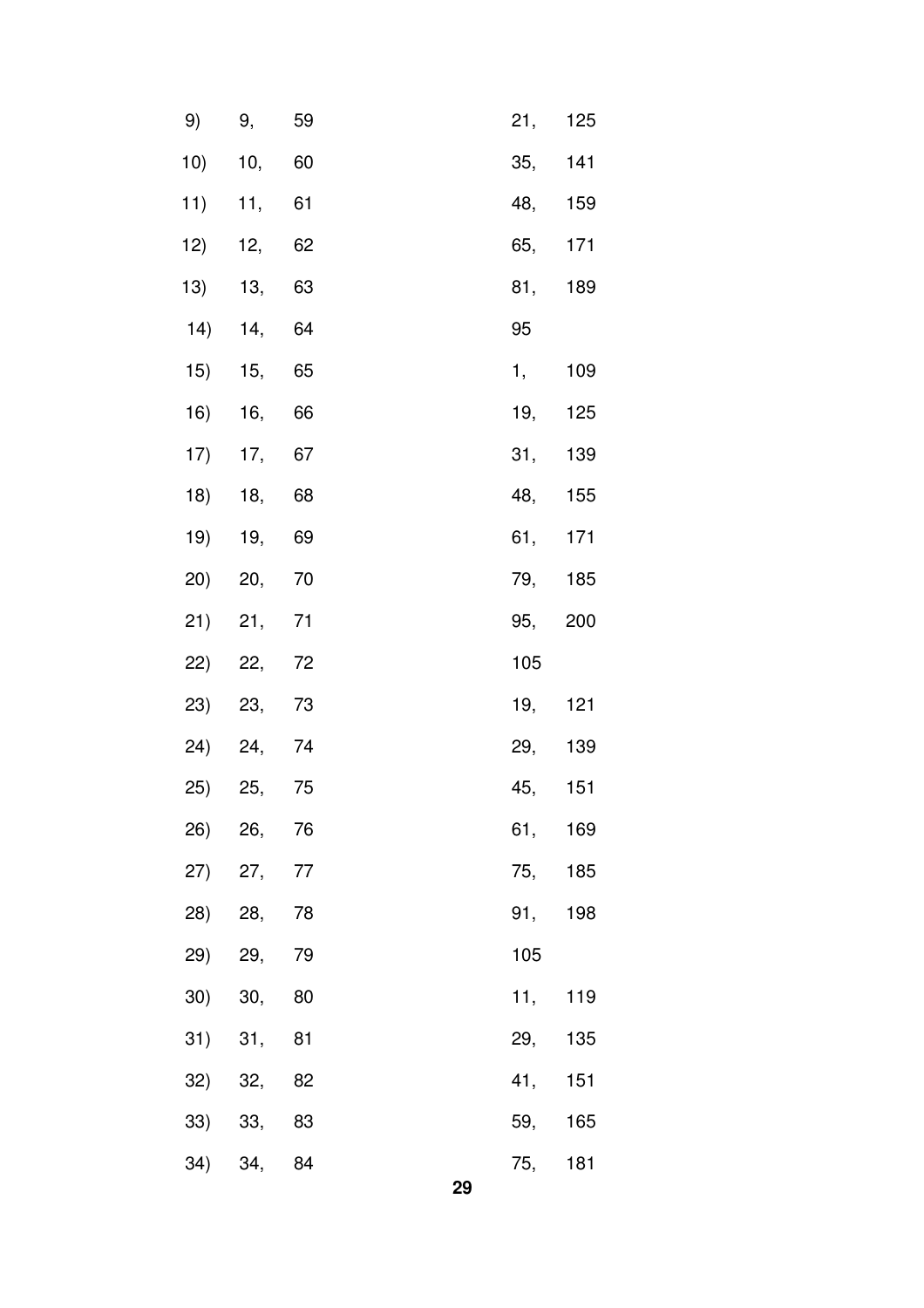|         | 9) 9, 59    |    |  |    | 21, 125 |     |
|---------|-------------|----|--|----|---------|-----|
|         | 10) 10, 60  |    |  |    | 35, 141 |     |
|         | 11) 11, 61  |    |  |    | 48, 159 |     |
|         | 12) 12, 62  |    |  |    | 65, 171 |     |
|         | 13) 13, 63  |    |  |    | 81,     | 189 |
|         | 14) 14, 64  |    |  |    | 95      |     |
|         | 15) 15, 65  |    |  |    | 1,      | 109 |
|         | 16) 16, 66  |    |  |    | 19,     | 125 |
|         | 17) 17, 67  |    |  |    | 31,     | 139 |
|         | 18) 18, 68  |    |  |    | 48, 155 |     |
|         | 19) 19, 69  |    |  |    | 61, 171 |     |
|         | 20) 20, 70  |    |  |    | 79, 185 |     |
|         | 21) 21, 71  |    |  |    | 95,     | 200 |
|         | 22) 22, 72  |    |  |    | 105     |     |
|         | 23) 23, 73  |    |  |    | 19,     | 121 |
|         | 24) 24, 74  |    |  |    | 29, 139 |     |
|         | 25) 25, 75  |    |  |    | 45, 151 |     |
|         | 26) 26, 76  |    |  |    | 61,     | 169 |
|         | 27) 27, 77  |    |  |    | 75, 185 |     |
|         | 28) 28, 78  |    |  |    | 91,     | 198 |
| 29) 29, |             | 79 |  |    | 105     |     |
|         | $30)$ 30,   | 80 |  |    | 11,     | 119 |
|         | $31)$ $31,$ | 81 |  |    | 29,     | 135 |
|         | 32) 32, 82  |    |  |    | 41,     | 151 |
|         | 33) 33, 83  |    |  |    | 59, 165 |     |
|         | 34) 34, 84  |    |  |    | 75,     | 181 |
|         |             |    |  | 29 |         |     |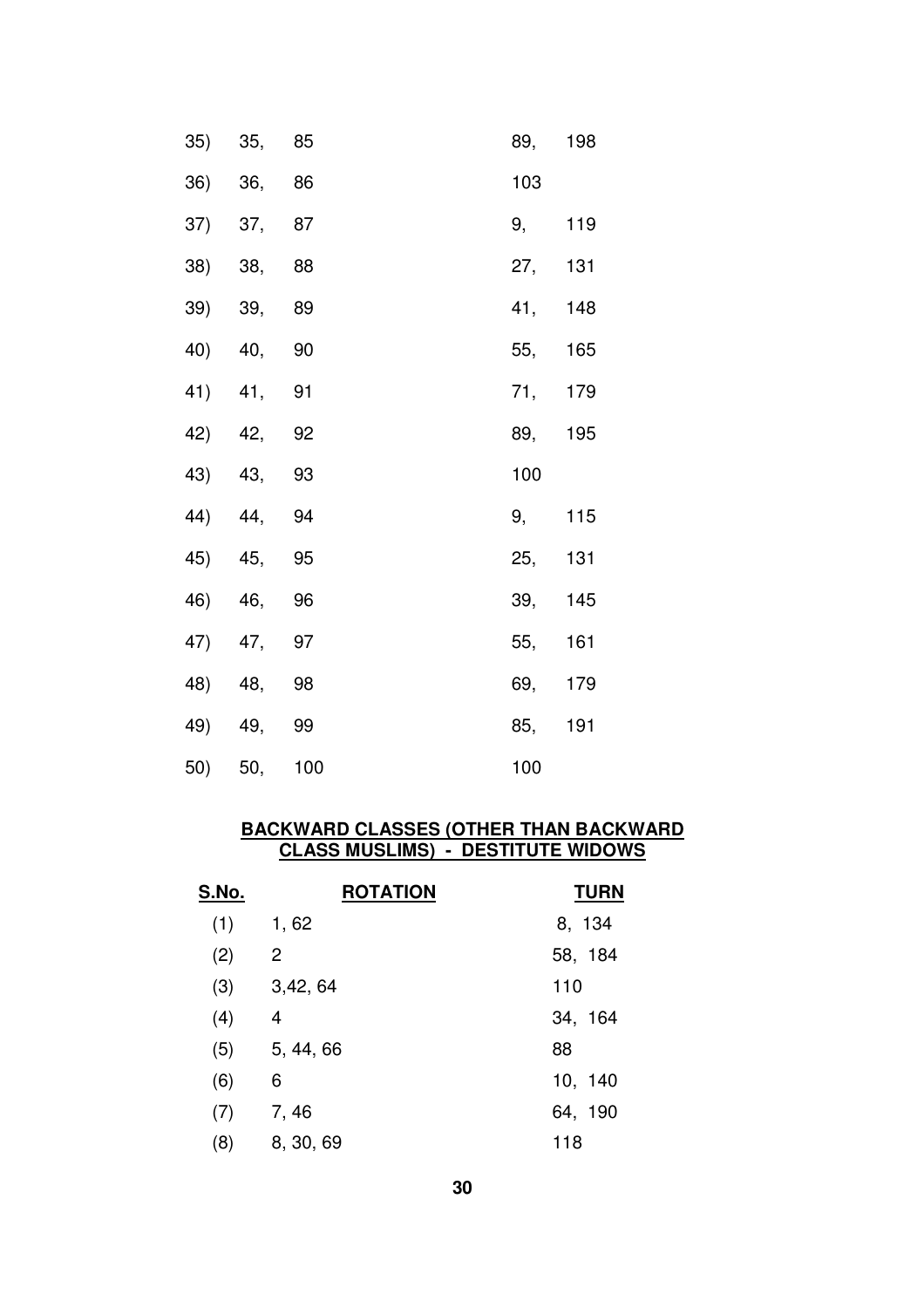| 35) 35, 85 | 89, 198  |  |
|------------|----------|--|
| 36) 36, 86 | 103      |  |
| 37) 37, 87 | 9, 119   |  |
| 38) 38, 88 | 27, 131  |  |
| 39) 39, 89 | 41, 148  |  |
| 40) 40, 90 | 55, 165  |  |
| 41) 41, 91 | 71, 179  |  |
| 42) 42, 92 | 89, 195  |  |
|            |          |  |
| 43) 43, 93 | 100      |  |
| 44) 44, 94 | $9,$ 115 |  |
| 45) 45, 95 | 25, 131  |  |
| 46) 46, 96 | 39, 145  |  |
| 47) 47, 97 | 55, 161  |  |
| 48) 48, 98 | 69, 179  |  |
| 49) 49, 99 | 85, 191  |  |

#### **BACKWARD CLASSES (OTHER THAN BACKWARD CLASS MUSLIMS) - DESTITUTE WIDOWS**

| S.No. | <b>ROTATION</b> | <b>TURN</b> |
|-------|-----------------|-------------|
| (1)   | 1,62            | 8, 134      |
| (2)   | $\overline{2}$  | 58, 184     |
| (3)   | 3,42,64         | 110         |
| (4)   | 4               | 34, 164     |
| (5)   | 5, 44, 66       | 88          |
| (6)   | 6               | 10, 140     |
| (7)   | 7, 46           | 64, 190     |
| (8)   | 8, 30, 69       | 118         |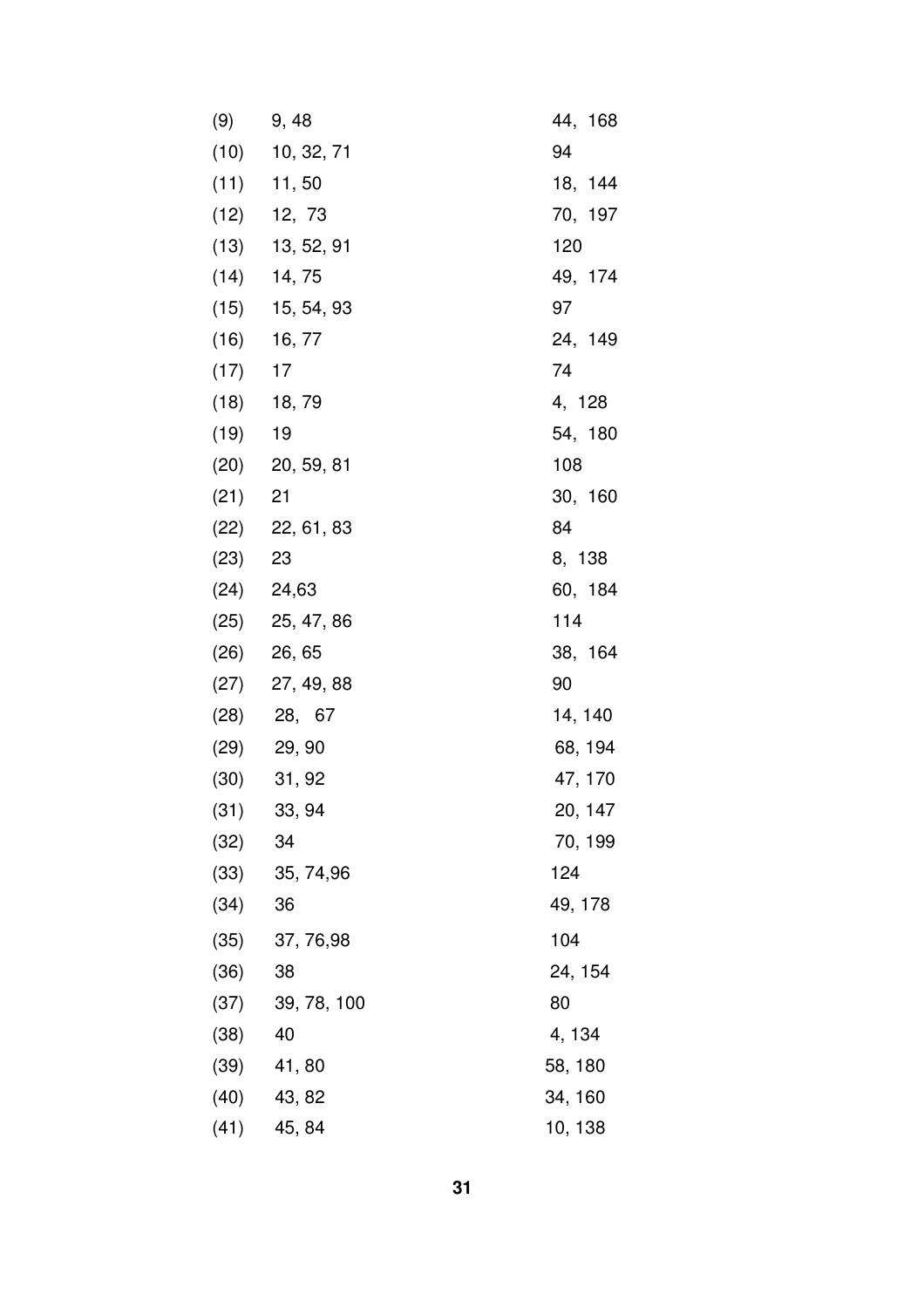| (9)       | 9, 48             | 44, 168 |
|-----------|-------------------|---------|
|           | $(10)$ 10, 32, 71 | 94      |
|           | $(11)$ 11, 50     | 18, 144 |
|           | $(12)$ 12, 73     | 70, 197 |
|           | $(13)$ 13, 52, 91 | 120     |
|           | $(14)$ 14, 75     | 49, 174 |
|           | $(15)$ 15, 54, 93 | 97      |
|           | $(16)$ 16, 77     | 24, 149 |
| (17)      | 17                | 74      |
|           | $(18)$ 18, 79     | 4, 128  |
| $(19)$ 19 |                   | 54, 180 |
|           | $(20)$ 20, 59, 81 | 108     |
| $(21)$ 21 |                   | 30, 160 |
|           | $(22)$ 22, 61, 83 | 84      |
| (23)      | 23                | 8, 138  |
|           | $(24)$ 24,63      | 60, 184 |
|           | $(25)$ 25, 47, 86 | 114     |
|           | $(26)$ 26, 65     | 38, 164 |
|           | $(27)$ 27, 49, 88 | 90      |
|           | $(28)$ 28, 67     | 14, 140 |
|           | $(29)$ 29, 90     | 68, 194 |
| (30)      | 31, 92            | 47, 170 |
| (31)      | 33, 94            | 20, 147 |
| (32)      | 34                | 70, 199 |
| (33)      | 35, 74, 96        | 124     |
| (34)      | 36                | 49, 178 |
| (35)      | 37, 76, 98        | 104     |
| (36)      | 38                | 24, 154 |
| (37)      | 39, 78, 100       | 80      |
| (38)      | 40                | 4, 134  |
| (39)      | 41,80             | 58, 180 |
| (40)      | 43, 82            | 34, 160 |
| (41)      | 45, 84            | 10, 138 |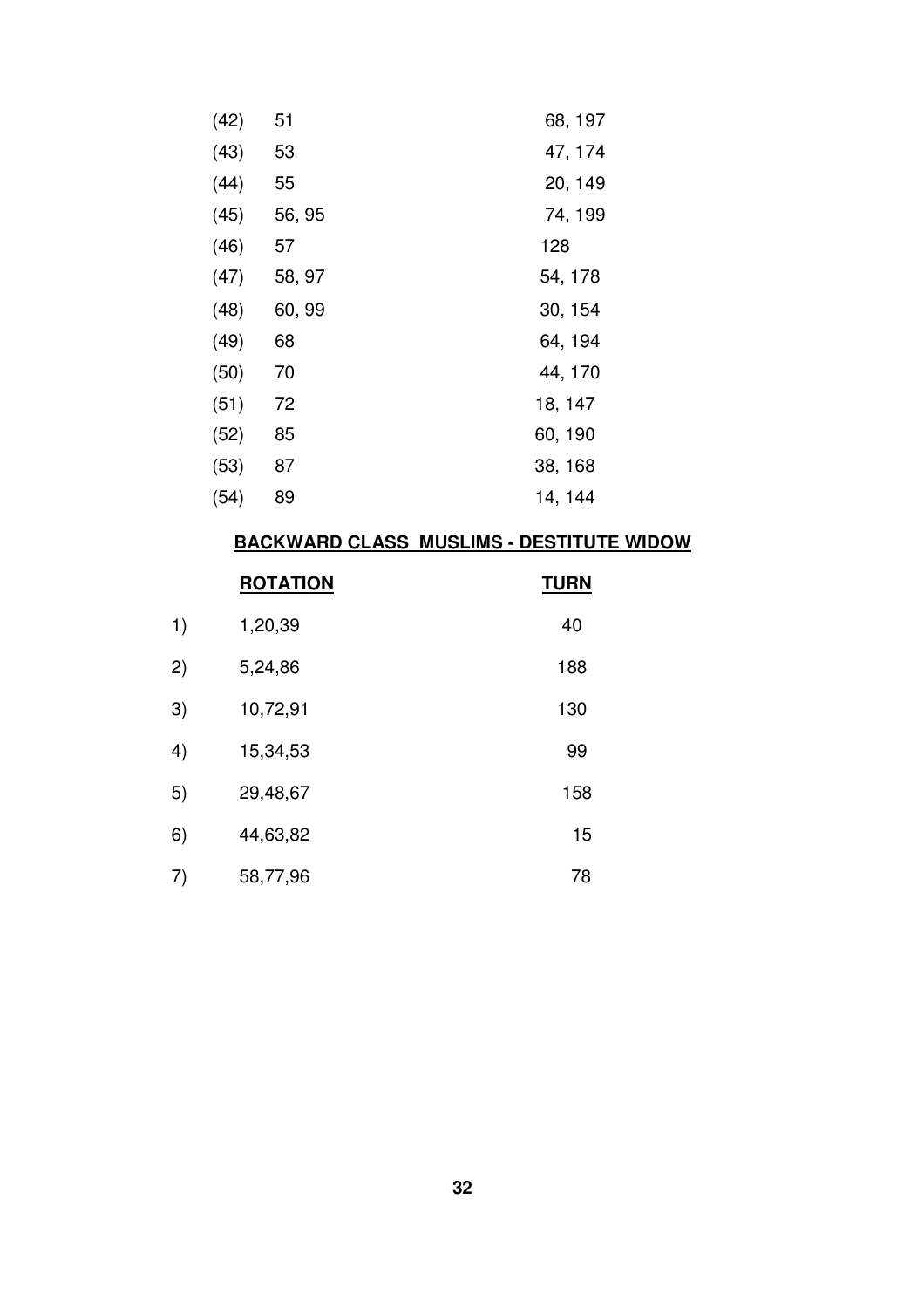| (42) | 51     | 68, 197 |
|------|--------|---------|
| (43) | 53     | 47, 174 |
| (44) | 55     | 20, 149 |
| (45) | 56, 95 | 74, 199 |
| (46) | 57     | 128     |
| (47) | 58, 97 | 54, 178 |
| (48) | 60, 99 | 30, 154 |
| (49) | 68     | 64, 194 |
| (50) | 70     | 44, 170 |
| (51) | 72     | 18, 147 |
| (52) | 85     | 60, 190 |
| (53) | 87     | 38, 168 |
| (54) | 89     | 14, 144 |

# **BACKWARD CLASS MUSLIMS - DESTITUTE WIDOW**

|    | <b>ROTATION</b> | <b>TURN</b> |
|----|-----------------|-------------|
| 1) | 1,20,39         | 40          |
| 2) | 5,24,86         | 188         |
| 3) | 10,72,91        | 130         |
| 4) | 15,34,53        | 99          |
| 5) | 29,48,67        | 158         |
| 6) | 44,63,82        | 15          |
| 7) | 58,77,96        | 78          |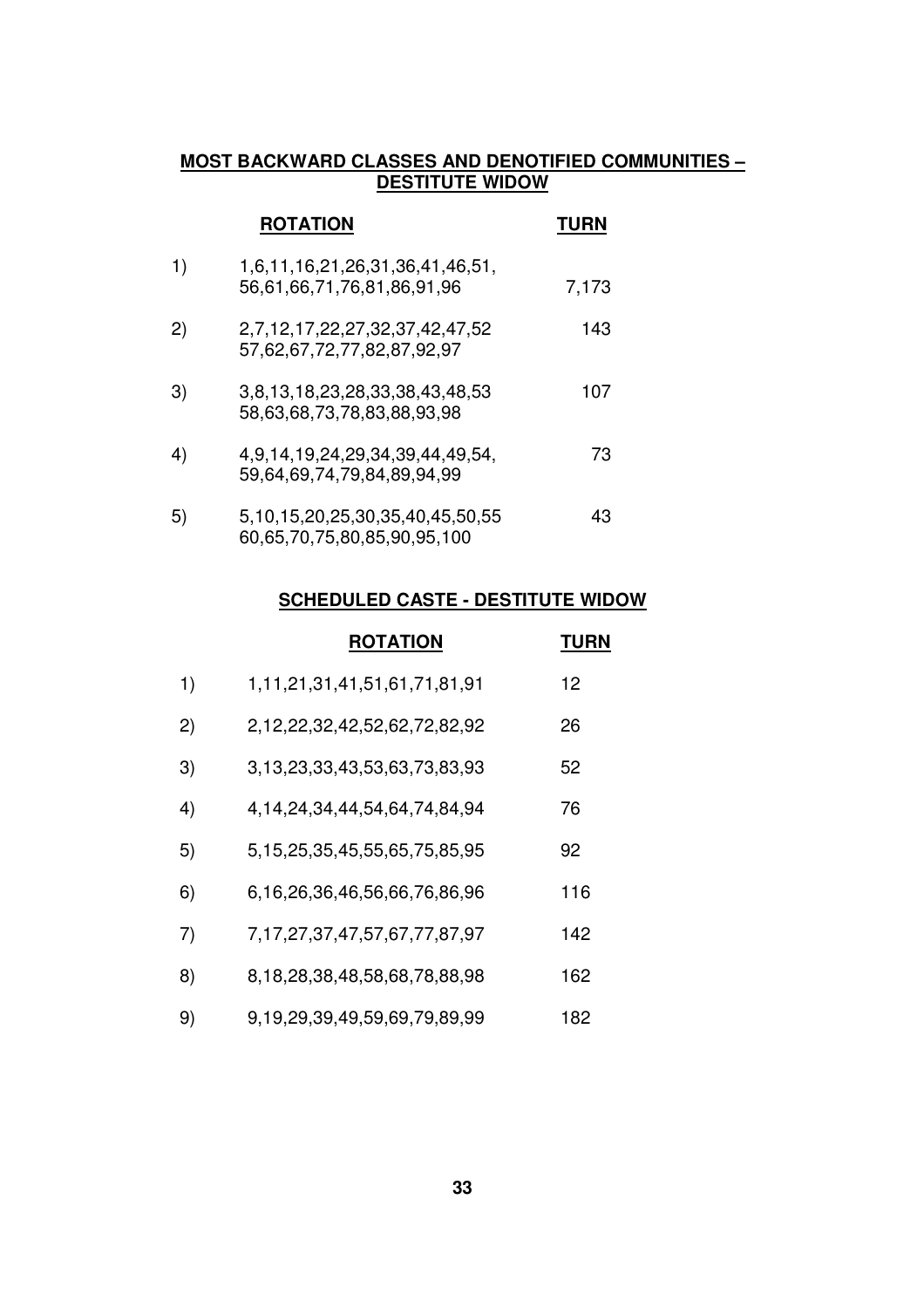# **MOST BACKWARD CLASSES AND DENOTIFIED COMMUNITIES – DESTITUTE WIDOW**

|    | <b>ROTATION</b>                                                | <b>TURN</b> |
|----|----------------------------------------------------------------|-------------|
| 1) | 1,6,11,16,21,26,31,36,41,46,51,<br>56,61,66,71,76,81,86,91,96  | 7,173       |
| 2) | 2,7,12,17,22,27,32,37,42,47,52<br>57,62,67,72,77,82,87,92,97   | 143         |
| 3) | 3,8,13,18,23,28,33,38,43,48,53<br>58,63,68,73,78,83,88,93,98   | 107         |
| 4) | 4,9,14,19,24,29,34,39,44,49,54,<br>59,64,69,74,79,84,89,94,99  | 73          |
| 5) | 5,10,15,20,25,30,35,40,45,50,55<br>60,65,70,75,80,85,90,95,100 | 43          |

# **SCHEDULED CASTE - DESTITUTE WIDOW**

|    | <b>ROTATION</b>                       | <b>TURN</b> |
|----|---------------------------------------|-------------|
| 1) | 1, 11, 21, 31, 41, 51, 61, 71, 81, 91 | 12          |
| 2) | 2,12,22,32,42,52,62,72,82,92          | 26          |
| 3) | 3,13,23,33,43,53,63,73,83,93          | 52          |
| 4) | 4, 14, 24, 34, 44, 54, 64, 74, 84, 94 | 76          |
| 5) | 5, 15, 25, 35, 45, 55, 65, 75, 85, 95 | 92          |
| 6) | 6,16,26,36,46,56,66,76,86,96          | 116         |
| 7) | 7, 17, 27, 37, 47, 57, 67, 77, 87, 97 | 142         |
| 8) | 8,18,28,38,48,58,68,78,88,98          | 162         |
| 9) | 9,19,29,39,49,59,69,79,89,99          | 182         |